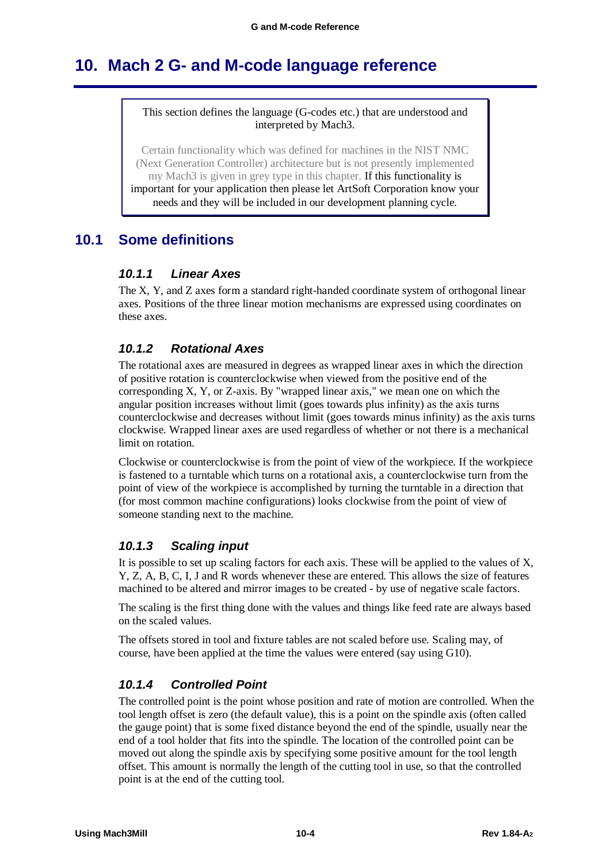# 10. Mach 2 G- and M-code language reference

This section defines the language (G-codes etc.) that are understood and interpreted by Mach3.

Certain functionality which was defined for machines in the NIST NMC (Next Generation Controller) architecture but is not presently implemented my Mach3 is given in grey type in this chapter. If this functionality is important for your application then please let ArtSoft Corporation know your needs and they will be included in our development planning cycle.

#### $10.1$ **Some definitions**

#### $10.1.1$ **Linear Axes**

The X, Y, and Z axes form a standard right-handed coordinate system of orthogonal linear axes. Positions of the three linear motion mechanisms are expressed using coordinates on these axes.

#### $10.1.2$ **Rotational Axes**

The rotational axes are measured in degrees as wrapped linear axes in which the direction of positive rotation is counterclockwise when viewed from the positive end of the corresponding  $X$ ,  $Y$ , or  $Z$ -axis. By "wrapped linear axis," we mean one on which the angular position increases without limit (goes towards plus infinity) as the axis turns counterclockwise and decreases without limit (goes towards minus infinity) as the axis turns clockwise. Wrapped linear axes are used regardless of whether or not there is a mechanical limit on rotation.

Clockwise or counterclockwise is from the point of view of the workpiece. If the workpiece is fastened to a turntable which turns on a rotational axis, a counterclockwise turn from the point of view of the workpiece is accomplished by turning the turntable in a direction that (for most common machine configurations) looks clockwise from the point of view of someone standing next to the machine.

#### $10.1.3$ **Scaling input**

It is possible to set up scaling factors for each axis. These will be applied to the values of X, Y, Z, A, B, C, I, J and R words whenever these are entered. This allows the size of features machined to be altered and mirror images to be created - by use of negative scale factors.

The scaling is the first thing done with the values and things like feed rate are always based on the scaled values.

The offsets stored in tool and fixture tables are not scaled before use. Scaling may, of course, have been applied at the time the values were entered (say using G10).

#### $10.14$ **Controlled Point**

The controlled point is the point whose position and rate of motion are controlled. When the tool length offset is zero (the default value), this is a point on the spindle axis (often called the gauge point) that is some fixed distance beyond the end of the spindle, usually near the end of a tool holder that fits into the spindle. The location of the controlled point can be moved out along the spindle axis by specifying some positive amount for the tool length offset. This amount is normally the length of the cutting tool in use, so that the controlled point is at the end of the cutting tool.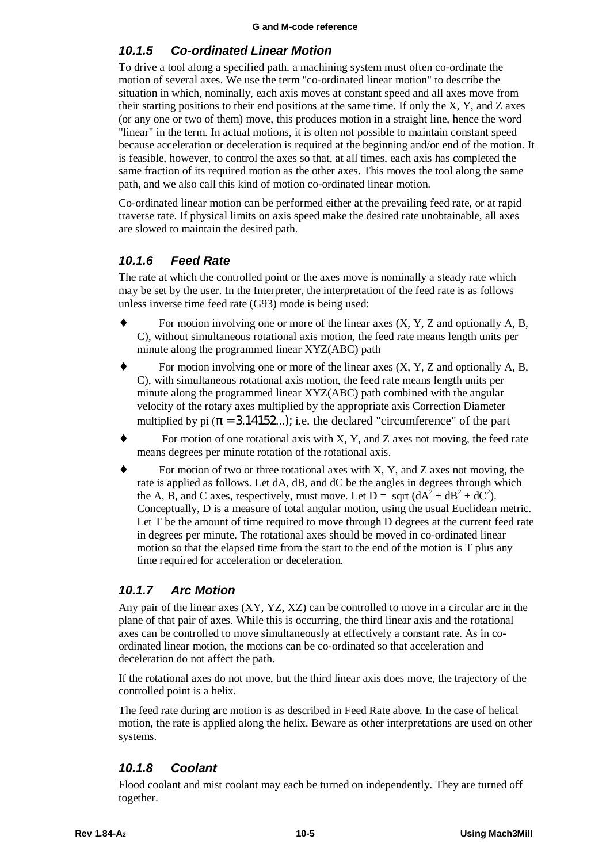#### **Co-ordinated Linear Motion**  $10.1.5$

To drive a tool along a specified path, a machining system must often co-ordinate the motion of several axes. We use the term "co-ordinated linear motion" to describe the situation in which, nominally, each axis moves at constant speed and all axes move from their starting positions to their end positions at the same time. If only the X, Y, and Z axes (or any one or two of them) move, this produces motion in a straight line, hence the word "linear" in the term. In actual motions, it is often not possible to maintain constant speed because acceleration or deceleration is required at the beginning and/or end of the motion. It is feasible, however, to control the axes so that, at all times, each axis has completed the same fraction of its required motion as the other axes. This moves the tool along the same path, and we also call this kind of motion co-ordinated linear motion.

Co-ordinated linear motion can be performed either at the prevailing feed rate, or at rapid traverse rate. If physical limits on axis speed make the desired rate unobtainable, all axes are slowed to maintain the desired path.

#### $10.1.6$ **Feed Rate**

The rate at which the controlled point or the axes move is nominally a steady rate which may be set by the user. In the Interpreter, the interpretation of the feed rate is as follows unless inverse time feed rate (G93) mode is being used:

- For motion involving one or more of the linear axes  $(X, Y, Z)$  and optionally A, B, C), without simultaneous rotational axis motion, the feed rate means length units per minute along the programmed linear XYZ(ABC) path
- For motion involving one or more of the linear axes  $(X, Y, Z)$  and optionally A, B, C), with simultaneous rotational axis motion, the feed rate means length units per minute along the programmed linear XYZ(ABC) path combined with the angular velocity of the rotary axes multiplied by the appropriate axis Correction Diameter multiplied by pi ( $\pi$  = 3.14152...); i.e. the declared "circumference" of the part
- For motion of one rotational axis with  $X$ ,  $Y$ , and  $Z$  axes not moving, the feed rate means degrees per minute rotation of the rotational axis.
- For motion of two or three rotational axes with  $X$ ,  $Y$ , and  $Z$  axes not moving, the rate is applied as follows. Let dA, dB, and dC be the angles in degrees through which the A, B, and C axes, respectively, must move. Let  $D = \sqrt{\text{sqrt}} (dA^2 + dB^2 + dC^2)$ . Conceptually, D is a measure of total angular motion, using the usual Euclidean metric. Let T be the amount of time required to move through D degrees at the current feed rate in degrees per minute. The rotational axes should be moved in co-ordinated linear motion so that the elapsed time from the start to the end of the motion is T plus any time required for acceleration or deceleration.

#### $10.1.7$ **Arc Motion**

Any pair of the linear axes (XY, YZ, XZ) can be controlled to move in a circular arc in the plane of that pair of axes. While this is occurring, the third linear axis and the rotational axes can be controlled to move simultaneously at effectively a constant rate. As in coordinated linear motion, the motions can be co-ordinated so that acceleration and deceleration do not affect the path.

If the rotational axes do not move, but the third linear axis does move, the trajectory of the controlled point is a helix.

The feed rate during arc motion is as described in Feed Rate above. In the case of helical motion, the rate is applied along the helix. Beware as other interpretations are used on other systems.

#### $10.1.8$ **Coolant**

Flood coolant and mist coolant may each be turned on independently. They are turned off together.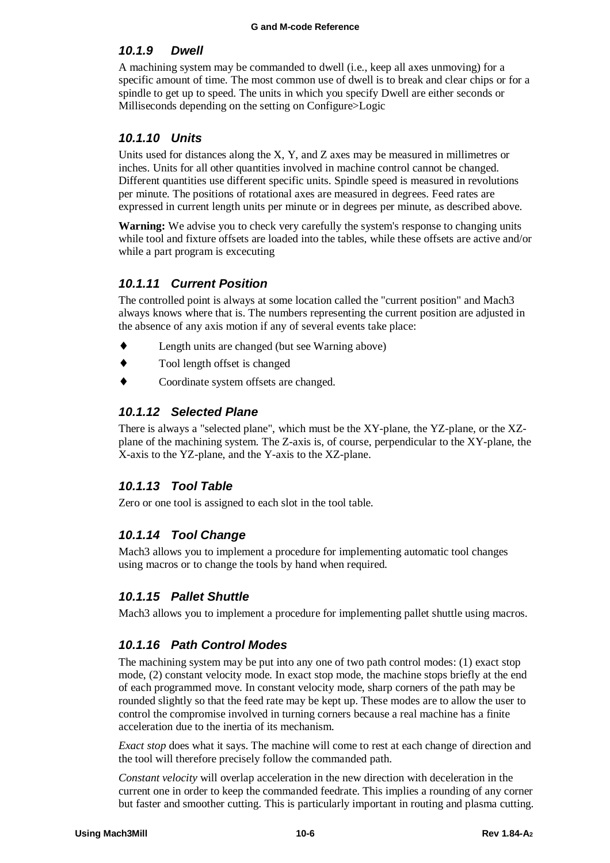#### 10.1.9 **Dwell**

A machining system may be commanded to dwell (i.e., keep all axes unmoving) for a specific amount of time. The most common use of dwell is to break and clear chips or for a spindle to get up to speed. The units in which you specify Dwell are either seconds or Milliseconds depending on the setting on Configure>Logic

## 10.1.10 Units

Units used for distances along the  $X$ ,  $Y$ , and  $Z$  axes may be measured in millimetres or inches. Units for all other quantities involved in machine control cannot be changed. Different quantities use different specific units. Spindle speed is measured in revolutions per minute. The positions of rotational axes are measured in degrees. Feed rates are expressed in current length units per minute or in degrees per minute, as described above.

**Warning:** We advise you to check very carefully the system's response to changing units while tool and fixture offsets are loaded into the tables, while these offsets are active and/or while a part program is excecuting

## 10.1.11 Current Position

The controlled point is always at some location called the "current position" and Mach3 always knows where that is. The numbers representing the current position are adjusted in the absence of any axis motion if any of several events take place:

- Length units are changed (but see Warning above)  $\blacktriangle$
- Tool length offset is changed  $\blacktriangle$
- Coordinate system offsets are changed.

## 10.1.12 Selected Plane

There is always a "selected plane", which must be the XY-plane, the YZ-plane, or the XZplane of the machining system. The Z-axis is, of course, perpendicular to the XY-plane, the X-axis to the YZ-plane, and the Y-axis to the XZ-plane.

## 10.1.13 Tool Table

Zero or one tool is assigned to each slot in the tool table.

## 10.1.14 Tool Change

Mach<sub>3</sub> allows you to implement a procedure for implementing automatic tool changes using macros or to change the tools by hand when required.

## 10.1.15 Pallet Shuttle

Mach3 allows you to implement a procedure for implementing pallet shuttle using macros.

## 10.1.16 Path Control Modes

The machining system may be put into any one of two path control modes: (1) exact stop mode, (2) constant velocity mode. In exact stop mode, the machine stops briefly at the end of each programmed move. In constant velocity mode, sharp corners of the path may be rounded slightly so that the feed rate may be kept up. These modes are to allow the user to control the compromise involved in turning corners because a real machine has a finite acceleration due to the inertia of its mechanism.

*Exact stop* does what it says. The machine will come to rest at each change of direction and the tool will therefore precisely follow the commanded path.

Constant velocity will overlap acceleration in the new direction with deceleration in the current one in order to keep the commanded feedrate. This implies a rounding of any corner but faster and smoother cutting. This is particularly important in routing and plasma cutting.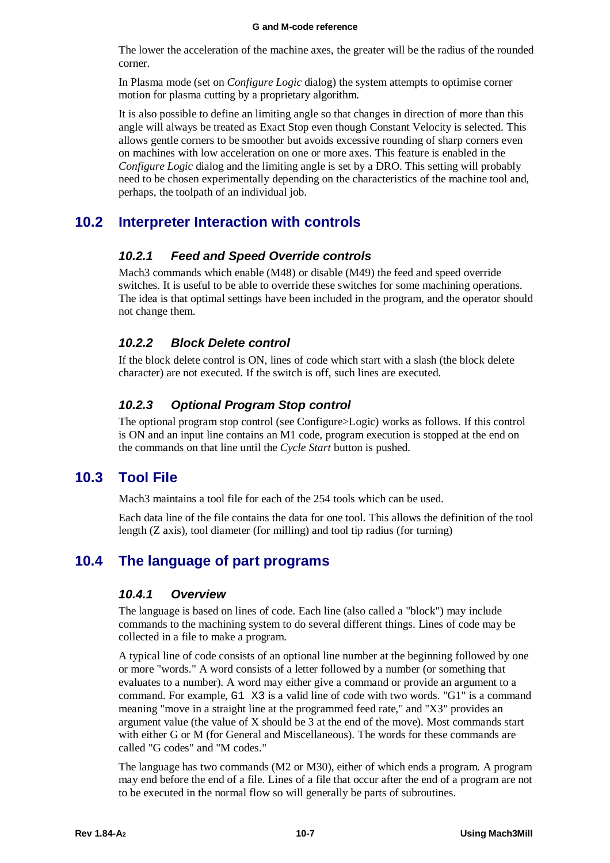The lower the acceleration of the machine axes, the greater will be the radius of the rounded corner.

In Plasma mode (set on *Configure Logic* dialog) the system attempts to optimise corner motion for plasma cutting by a proprietary algorithm.

It is also possible to define an limiting angle so that changes in direction of more than this angle will always be treated as Exact Stop even though Constant Velocity is selected. This allows gentle corners to be smoother but avoids excessive rounding of sharp corners even on machines with low acceleration on one or more axes. This feature is enabled in the *Configure Logic* dialog and the limiting angle is set by a DRO. This setting will probably need to be chosen experimentally depending on the characteristics of the machine tool and, perhaps, the toolpath of an individual job.

#### $10.2$ **Interpreter Interaction with controls**

#### $10.2.1$ **Feed and Speed Override controls**

Mach3 commands which enable (M48) or disable (M49) the feed and speed override switches. It is useful to be able to override these switches for some machining operations. The idea is that optimal settings have been included in the program, and the operator should not change them.

#### $10.2.2$ **Block Delete control**

If the block delete control is ON, lines of code which start with a slash (the block delete character) are not executed. If the switch is off, such lines are executed.

#### $10.2.3$ **Optional Program Stop control**

The optional program stop control (see Configure>Logic) works as follows. If this control is ON and an input line contains an M1 code, program execution is stopped at the end on the commands on that line until the Cycle Start button is pushed.

#### $10.3$ **Tool File**

Mach3 maintains a tool file for each of the 254 tools which can be used.

Each data line of the file contains the data for one tool. This allows the definition of the tool length  $(Z \text{ axis})$ , tool diameter (for milling) and tool tip radius (for turning)

#### $10.4$ The language of part programs

#### $10.4.1$ **Overview**

The language is based on lines of code. Each line (also called a "block") may include commands to the machining system to do several different things. Lines of code may be collected in a file to make a program.

A typical line of code consists of an optional line number at the beginning followed by one or more "words." A word consists of a letter followed by a number (or something that evaluates to a number). A word may either give a command or provide an argument to a command. For example, G1 X3 is a valid line of code with two words. "G1" is a command meaning "move in a straight line at the programmed feed rate," and "X3" provides an argument value (the value of X should be 3 at the end of the move). Most commands start with either G or M (for General and Miscellaneous). The words for these commands are called "G codes" and "M codes."

The language has two commands (M2 or M30), either of which ends a program. A program may end before the end of a file. Lines of a file that occur after the end of a program are not to be executed in the normal flow so will generally be parts of subroutines.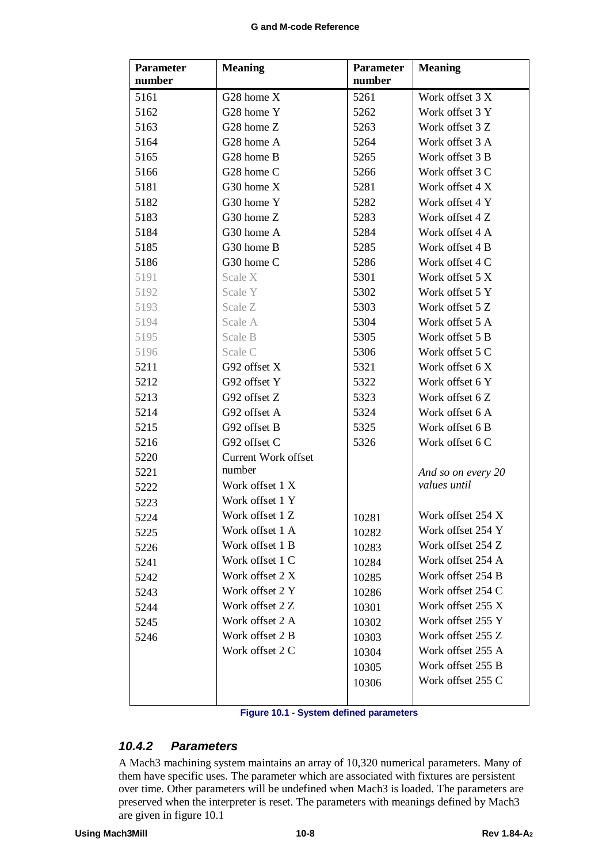| <b>Parameter</b><br>number | <b>Meaning</b>      | <b>Parameter</b><br>number | <b>Meaning</b>     |
|----------------------------|---------------------|----------------------------|--------------------|
| 5161                       | $G28$ home $X$      | 5261                       | Work offset 3 X    |
| 5162                       | G28 home Y          | 5262                       | Work offset 3 Y    |
| 5163                       | G28 home Z          | 5263                       | Work offset 3 Z    |
| 5164                       | G28 home A          | 5264                       | Work offset 3 A    |
| 5165                       | G28 home B          | 5265                       | Work offset 3 B    |
| 5166                       | G28 home C          | 5266                       | Work offset 3 C    |
| 5181                       | G30 home X          | 5281                       | Work offset 4 X    |
| 5182                       | G30 home Y          | 5282                       | Work offset 4 Y    |
| 5183                       | G30 home Z          | 5283                       | Work offset 4 Z    |
| 5184                       | G30 home A          | 5284                       | Work offset 4 A    |
| 5185                       | G30 home B          | 5285                       | Work offset 4 B    |
| 5186                       | G30 home C          | 5286                       | Work offset 4 C    |
| 5191                       | Scale X             | 5301                       | Work offset 5 X    |
| 5192                       | Scale Y             | 5302                       | Work offset 5 Y    |
| 5193                       | Scale Z             | 5303                       | Work offset 5 Z    |
| 5194                       | Scale A             | 5304                       | Work offset 5 A    |
| 5195                       | Scale B             | 5305                       | Work offset 5 B    |
| 5196                       | Scale C             | 5306                       | Work offset 5 C    |
| 5211                       | G92 offset X        | 5321                       | Work offset 6 X    |
| 5212                       | G92 offset Y        | 5322                       | Work offset 6 Y    |
| 5213                       | G92 offset Z        | 5323                       | Work offset 6 Z    |
| 5214                       | G92 offset A        | 5324                       | Work offset 6 A    |
| 5215                       | G92 offset B        | 5325                       | Work offset 6 B    |
| 5216                       | G92 offset C        | 5326                       |                    |
|                            | Current Work offset |                            | Work offset 6 C    |
| 5220                       | number              |                            | And so on every 20 |
| 5221                       | Work offset 1 X     |                            | values until       |
| 5222                       | Work offset 1 Y     |                            |                    |
| 5223                       | Work offset 1 Z     |                            | Work offset 254 X  |
| 5224                       | Work offset 1 A     | 10281                      | Work offset 254 Y  |
| 5225                       | Work offset 1 B     | 10282                      | Work offset 254 Z  |
| 5226                       | Work offset 1 C     | 10283                      | Work offset 254 A  |
| 5241                       | Work offset 2 X     | 10284                      | Work offset 254 B  |
| 5242                       | Work offset 2 Y     | 10285                      | Work offset 254 C  |
| 5243                       | Work offset 2 Z     | 10286                      | Work offset 255 X  |
| 5244                       | Work offset 2 A     | 10301                      | Work offset 255 Y  |
| 5245                       | Work offset 2 B     | 10302                      | Work offset 255 Z  |
| 5246                       | Work offset 2 C     | 10303                      | Work offset 255 A  |
|                            |                     | 10304                      | Work offset 255 B  |
|                            |                     | 10305                      | Work offset 255 C  |
|                            |                     | 10306                      |                    |
|                            |                     |                            |                    |

Figure 10.1 - System defined parameters

#### $10.4.2$ **Parameters**

A Mach3 machining system maintains an array of 10,320 numerical parameters. Many of them have specific uses. The parameter which are associated with fixtures are persistent over time. Other parameters will be undefined when Mach3 is loaded. The parameters are preserved when the interpreter is reset. The parameters with meanings defined by Mach3  $\alpha$  are given in figure 10.1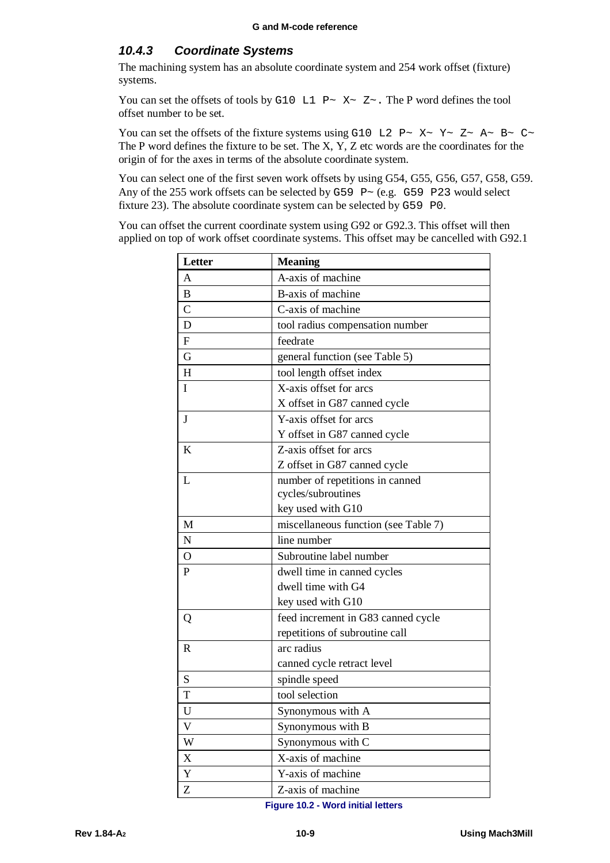#### $10.4.3$ **Coordinate Systems**

The machining system has an absolute coordinate system and 254 work offset (fixture) systems.

You can set the offsets of tools by G10 L1  $P \sim X \sim Z \sim$ . The P word defines the tool offset number to be set.

You can set the offsets of the fixture systems using G10 L2 P  $\sim$  X $\sim$  Y  $\sim$  Z  $\sim$  A  $\sim$  B  $\sim$  C  $\sim$ The P word defines the fixture to be set. The X, Y, Z etc words are the coordinates for the origin of for the axes in terms of the absolute coordinate system.

You can select one of the first seven work offsets by using G54, G55, G56, G57, G58, G59. Any of the 255 work offsets can be selected by G59  $P \sim$  (e.g. G59 P23 would select fixture 23). The absolute coordinate system can be selected by G59 P0.

You can offset the current coordinate system using G92 or G92.3. This offset will then applied on top of work offset coordinate systems. This offset may be cancelled with G92.1

| A-axis of machine<br>A<br>B-axis of machine<br>B<br>$\mathcal{C}$<br>C-axis of machine<br>D<br>tool radius compensation number<br>${\bf F}$<br>feedrate<br>G<br>general function (see Table 5)<br>H<br>tool length offset index<br>X-axis offset for arcs<br>I<br>X offset in G87 canned cycle<br>Y-axis offset for arcs<br>J<br>Y offset in G87 canned cycle<br>$\bf K$<br>Z-axis offset for arcs<br>Z offset in G87 canned cycle<br>number of repetitions in canned<br>L<br>cycles/subroutines |
|--------------------------------------------------------------------------------------------------------------------------------------------------------------------------------------------------------------------------------------------------------------------------------------------------------------------------------------------------------------------------------------------------------------------------------------------------------------------------------------------------|
|                                                                                                                                                                                                                                                                                                                                                                                                                                                                                                  |
|                                                                                                                                                                                                                                                                                                                                                                                                                                                                                                  |
|                                                                                                                                                                                                                                                                                                                                                                                                                                                                                                  |
|                                                                                                                                                                                                                                                                                                                                                                                                                                                                                                  |
|                                                                                                                                                                                                                                                                                                                                                                                                                                                                                                  |
|                                                                                                                                                                                                                                                                                                                                                                                                                                                                                                  |
|                                                                                                                                                                                                                                                                                                                                                                                                                                                                                                  |
|                                                                                                                                                                                                                                                                                                                                                                                                                                                                                                  |
|                                                                                                                                                                                                                                                                                                                                                                                                                                                                                                  |
|                                                                                                                                                                                                                                                                                                                                                                                                                                                                                                  |
|                                                                                                                                                                                                                                                                                                                                                                                                                                                                                                  |
|                                                                                                                                                                                                                                                                                                                                                                                                                                                                                                  |
|                                                                                                                                                                                                                                                                                                                                                                                                                                                                                                  |
|                                                                                                                                                                                                                                                                                                                                                                                                                                                                                                  |
|                                                                                                                                                                                                                                                                                                                                                                                                                                                                                                  |
| key used with G10                                                                                                                                                                                                                                                                                                                                                                                                                                                                                |
| miscellaneous function (see Table 7)<br>M                                                                                                                                                                                                                                                                                                                                                                                                                                                        |
| line number<br>$\mathbf N$                                                                                                                                                                                                                                                                                                                                                                                                                                                                       |
| Subroutine label number<br>O                                                                                                                                                                                                                                                                                                                                                                                                                                                                     |
| dwell time in canned cycles<br>P                                                                                                                                                                                                                                                                                                                                                                                                                                                                 |
| dwell time with G4                                                                                                                                                                                                                                                                                                                                                                                                                                                                               |
| key used with G10                                                                                                                                                                                                                                                                                                                                                                                                                                                                                |
| feed increment in G83 canned cycle<br>Q                                                                                                                                                                                                                                                                                                                                                                                                                                                          |
| repetitions of subroutine call                                                                                                                                                                                                                                                                                                                                                                                                                                                                   |
| arc radius<br>$\mathbf R$                                                                                                                                                                                                                                                                                                                                                                                                                                                                        |
| canned cycle retract level                                                                                                                                                                                                                                                                                                                                                                                                                                                                       |
| S<br>spindle speed                                                                                                                                                                                                                                                                                                                                                                                                                                                                               |
| tool selection<br>T                                                                                                                                                                                                                                                                                                                                                                                                                                                                              |
| U<br>Synonymous with A                                                                                                                                                                                                                                                                                                                                                                                                                                                                           |
| $\overline{\mathsf{V}}$<br>Synonymous with B                                                                                                                                                                                                                                                                                                                                                                                                                                                     |
| W<br>Synonymous with C                                                                                                                                                                                                                                                                                                                                                                                                                                                                           |
| X<br>X-axis of machine                                                                                                                                                                                                                                                                                                                                                                                                                                                                           |
| $\mathbf Y$<br>Y-axis of machine                                                                                                                                                                                                                                                                                                                                                                                                                                                                 |
| Z<br>Z-axis of machine                                                                                                                                                                                                                                                                                                                                                                                                                                                                           |

### **Figure 10.2 - Word initial letters**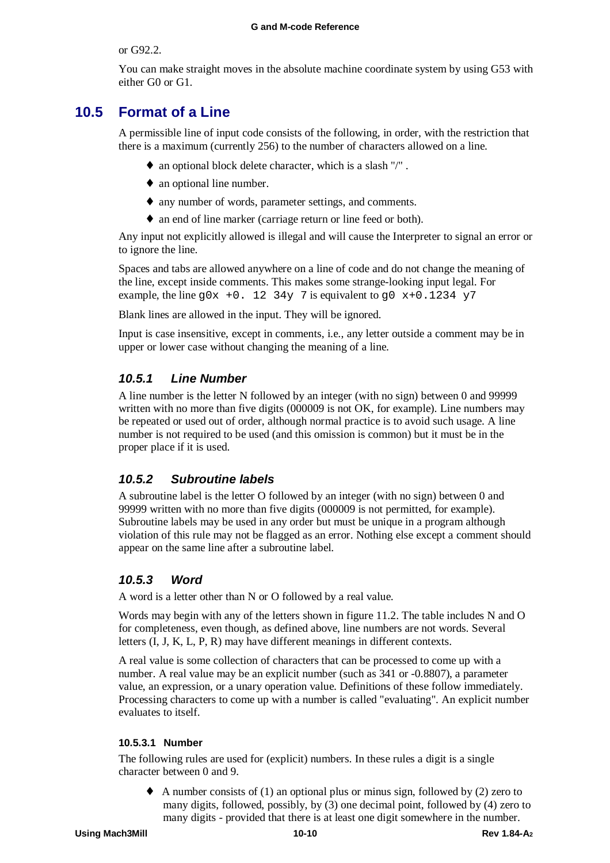or  $G92.2$ 

You can make straight moves in the absolute machine coordinate system by using G53 with either G0 or G1.

#### $10.5$ **Format of a Line**

A permissible line of input code consists of the following, in order, with the restriction that there is a maximum (currently 256) to the number of characters allowed on a line.

- $\bullet$  an optional block delete character, which is a slash "/".
- $\bullet$  an optional line number.
- any number of words, parameter settings, and comments.
- $\bullet$  an end of line marker (carriage return or line feed or both).

Any input not explicitly allowed is illegal and will cause the Interpreter to signal an error or to ignore the line.

Spaces and tabs are allowed anywhere on a line of code and do not change the meaning of the line, except inside comments. This makes some strange-looking input legal. For example, the line g0x +0. 12 34y 7 is equivalent to g0  $x+0.1234$  y7

Blank lines are allowed in the input. They will be ignored.

Input is case insensitive, except in comments, i.e., any letter outside a comment may be in upper or lower case without changing the meaning of a line.

#### $10.5.1$ **Line Number**

A line number is the letter N followed by an integer (with no sign) between 0 and 99999 written with no more than five digits (000009 is not OK, for example). Line numbers may be repeated or used out of order, although normal practice is to avoid such usage. A line number is not required to be used (and this omission is common) but it must be in the proper place if it is used.

#### $10.5.2$ **Subroutine labels**

A subroutine label is the letter O followed by an integer (with no sign) between 0 and 99999 written with no more than five digits (000009 is not permitted, for example). Subroutine labels may be used in any order but must be unique in a program although violation of this rule may not be flagged as an error. Nothing else except a comment should appear on the same line after a subroutine label.

#### $10.5.3$ Word

A word is a letter other than N or O followed by a real value.

Words may begin with any of the letters shown in figure 11.2. The table includes N and O for completeness, even though, as defined above, line numbers are not words. Several letters  $(I, J, K, L, P, R)$  may have different meanings in different contexts.

A real value is some collection of characters that can be processed to come up with a number. A real value may be an explicit number (such as 341 or -0.8807), a parameter value, an expression, or a unary operation value. Definitions of these follow immediately. Processing characters to come up with a number is called "evaluating". An explicit number evaluates to itself.

### 10.5.3.1 Number

The following rules are used for (explicit) numbers. In these rules a digit is a single character between 0 and 9.

A number consists of (1) an optional plus or minus sign, followed by (2) zero to many digits, followed, possibly, by (3) one decimal point, followed by (4) zero to many digits - provided that there is at least one digit somewhere in the number.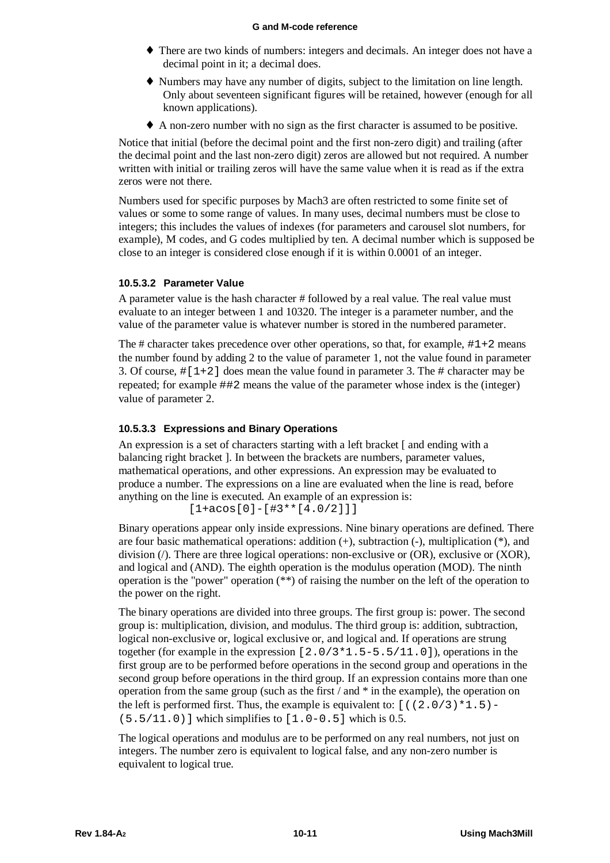- There are two kinds of numbers: integers and decimals. An integer does not have a decimal point in it; a decimal does.
- $\bullet$  Numbers may have any number of digits, subject to the limitation on line length. Only about seventeen significant figures will be retained, however (enough for all known applications).
- $\triangle$  A non-zero number with no sign as the first character is assumed to be positive.

Notice that initial (before the decimal point and the first non-zero digit) and trailing (after the decimal point and the last non-zero digit) zeros are allowed but not required. A number written with initial or trailing zeros will have the same value when it is read as if the extra zeros were not there.

Numbers used for specific purposes by Mach 3 are often restricted to some finite set of values or some to some range of values. In many uses, decimal numbers must be close to integers; this includes the values of indexes (for parameters and carousel slot numbers, for example), M codes, and G codes multiplied by ten. A decimal number which is supposed be close to an integer is considered close enough if it is within 0.0001 of an integer.

### 10.5.3.2 Parameter Value

A parameter value is the hash character # followed by a real value. The real value must evaluate to an integer between 1 and 10320. The integer is a parameter number, and the value of the parameter value is whatever number is stored in the numbered parameter.

The # character takes precedence over other operations, so that, for example,  $\#1+2$  means the number found by adding 2 to the value of parameter 1, not the value found in parameter 3. Of course,  $\#$ [1+2] does mean the value found in parameter 3. The  $\#$  character may be repeated; for example ##2 means the value of the parameter whose index is the (integer) value of parameter 2.

### 10.5.3.3 Expressions and Binary Operations

An expression is a set of characters starting with a left bracket [and ending with a balancing right bracket ]. In between the brackets are numbers, parameter values, mathematical operations, and other expressions. An expression may be evaluated to produce a number. The expressions on a line are evaluated when the line is read, before anything on the line is executed. An example of an expression is:

 $[1+acos[0]-[43**[4.0/2]]]$ 

Binary operations appear only inside expressions. Nine binary operations are defined. There are four basic mathematical operations: addition  $(+)$ , subtraction  $(-)$ , multiplication  $(*)$ , and division  $($ ). There are three logical operations: non-exclusive or  $(OR)$ , exclusive or  $(XOR)$ , and logical and (AND). The eighth operation is the modulus operation (MOD). The ninth operation is the "power" operation  $(**)$  of raising the number on the left of the operation to the power on the right.

The binary operations are divided into three groups. The first group is: power. The second group is: multiplication, division, and modulus. The third group is: addition, subtraction, logical non-exclusive or, logical exclusive or, and logical and. If operations are strung together (for example in the expression  $[2.0/3*1.5-5.5/11.0]$ ), operations in the first group are to be performed before operations in the second group and operations in the second group before operations in the third group. If an expression contains more than one operation from the same group (such as the first  $/$  and  $*$  in the example), the operation on the left is performed first. Thus, the example is equivalent to:  $[( (2.0/3) * 1.5) (5.5/11.0)$  ] which simplifies to  $[1.0-0.5]$  which is 0.5.

The logical operations and modulus are to be performed on any real numbers, not just on integers. The number zero is equivalent to logical false, and any non-zero number is equivalent to logical true.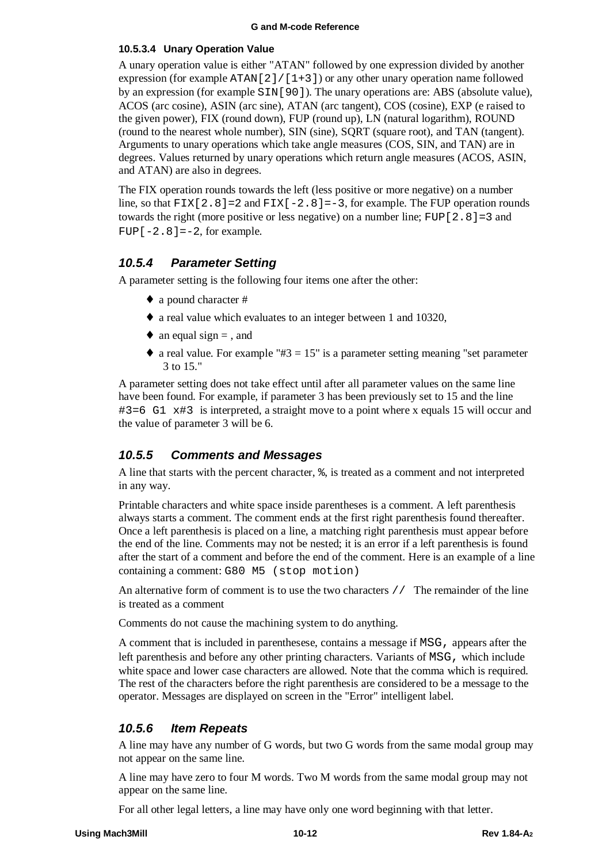### 10.5.3.4 Unary Operation Value

A unary operation value is either "ATAN" followed by one expression divided by another expression (for example ATAN[ $2$ ]/[ $1+3$ ]) or any other unary operation name followed by an expression (for example SIN[90]). The unary operations are: ABS (absolute value), ACOS (arc cosine), ASIN (arc sine), ATAN (arc tangent), COS (cosine), EXP (e raised to the given power), FIX (round down), FUP (round up), LN (natural logarithm), ROUND (round to the nearest whole number), SIN (sine), SORT (square root), and TAN (tangent). Arguments to unary operations which take angle measures (COS, SIN, and TAN) are in degrees. Values returned by unary operations which return angle measures (ACOS, ASIN, and ATAN) are also in degrees.

The FIX operation rounds towards the left (less positive or more negative) on a number line, so that  $FIX[2, 8] = 2$  and  $FIX[-2, 8] = -3$ , for example. The FUP operation rounds towards the right (more positive or less negative) on a number line;  $FUP[2.8] = 3$  and  $FUP[-2, 8] = -2$ , for example.

#### $10.5.4$ **Parameter Setting**

A parameter setting is the following four items one after the other:

- $\bullet$  a pound character #
- $\bullet$  a real value which evaluates to an integer between 1 and 10320,
- $\bullet$  an equal sign = , and
- a real value. For example "#3 = 15" is a parameter setting meaning "set parameter 3 to 15"

A parameter setting does not take effect until after all parameter values on the same line have been found. For example, if parameter 3 has been previously set to 15 and the line  $#3=6$  G1  $x#3$  is interpreted, a straight move to a point where x equals 15 will occur and the value of parameter 3 will be 6.

#### $10.5.5$ **Comments and Messages**

A line that starts with the percent character,  $\frac{1}{2}$ , is treated as a comment and not interpreted in any way.

Printable characters and white space inside parentheses is a comment. A left parenthesis always starts a comment. The comment ends at the first right parenthesis found thereafter. Once a left parenthesis is placed on a line, a matching right parenthesis must appear before the end of the line. Comments may not be nested; it is an error if a left parenthesis is found after the start of a comment and before the end of the comment. Here is an example of a line containing a comment: G80 M5 (stop motion)

An alternative form of comment is to use the two characters  $//$  The remainder of the line is treated as a comment

Comments do not cause the machining system to do anything.

A comment that is included in parenthesese, contains a message if MSG, appears after the left parenthesis and before any other printing characters. Variants of MSG, which include white space and lower case characters are allowed. Note that the comma which is required. The rest of the characters before the right parenthesis are considered to be a message to the operator. Messages are displayed on screen in the "Error" intelligent label.

#### $10.56$ **Item Repeats**

A line may have any number of G words, but two G words from the same modal group may not appear on the same line.

A line may have zero to four M words. Two M words from the same modal group may not appear on the same line.

For all other legal letters, a line may have only one word beginning with that letter.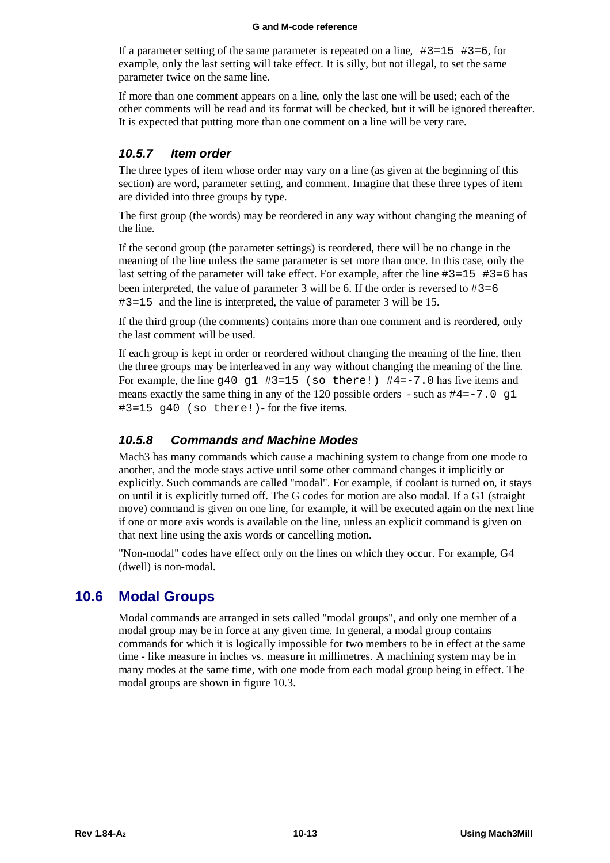If a parameter setting of the same parameter is repeated on a line,  $\#3=15$   $\#3=6$ , for example, only the last setting will take effect. It is silly, but not illegal, to set the same parameter twice on the same line.

If more than one comment appears on a line, only the last one will be used; each of the other comments will be read and its format will be checked, but it will be ignored thereafter. It is expected that putting more than one comment on a line will be very rare.

#### $10.5.7$ **Item order**

The three types of item whose order may vary on a line (as given at the beginning of this section) are word, parameter setting, and comment. Imagine that these three types of item are divided into three groups by type.

The first group (the words) may be reordered in any way without changing the meaning of the line

If the second group (the parameter settings) is reordered, there will be no change in the meaning of the line unless the same parameter is set more than once. In this case, only the last setting of the parameter will take effect. For example, after the line  $#3=15$  #3=6 has been interpreted, the value of parameter 3 will be 6. If the order is reversed to  $\#3=6$  $#3=15$  and the line is interpreted, the value of parameter 3 will be 15.

If the third group (the comments) contains more than one comment and is reordered, only the last comment will be used.

If each group is kept in order or reordered without changing the meaning of the line, then the three groups may be interleaved in any way without changing the meaning of the line. For example, the line  $q40 \, q1 \, #3=15$  (so there!)  $#4=-7.0$  has five items and means exactly the same thing in any of the 120 possible orders - such as  $\#4=-7.0 \text{ q1}$  $\#3=15$  q40 (so there!) - for the five items.

#### $10.5.8$ **Commands and Machine Modes**

Mach<sub>3</sub> has many commands which cause a machining system to change from one mode to another, and the mode stays active until some other command changes it implicitly or explicitly. Such commands are called "modal". For example, if coolant is turned on, it stays on until it is explicitly turned off. The G codes for motion are also modal. If a G1 (straight move) command is given on one line, for example, it will be executed again on the next line if one or more axis words is available on the line, unless an explicit command is given on that next line using the axis words or cancelling motion.

"Non-modal" codes have effect only on the lines on which they occur. For example, G4 (dwell) is non-modal.

#### $10.6$ **Modal Groups**

Modal commands are arranged in sets called "modal groups", and only one member of a modal group may be in force at any given time. In general, a modal group contains commands for which it is logically impossible for two members to be in effect at the same time - like measure in inches vs. measure in millimetres. A machining system may be in many modes at the same time, with one mode from each modal group being in effect. The modal groups are shown in figure 10.3.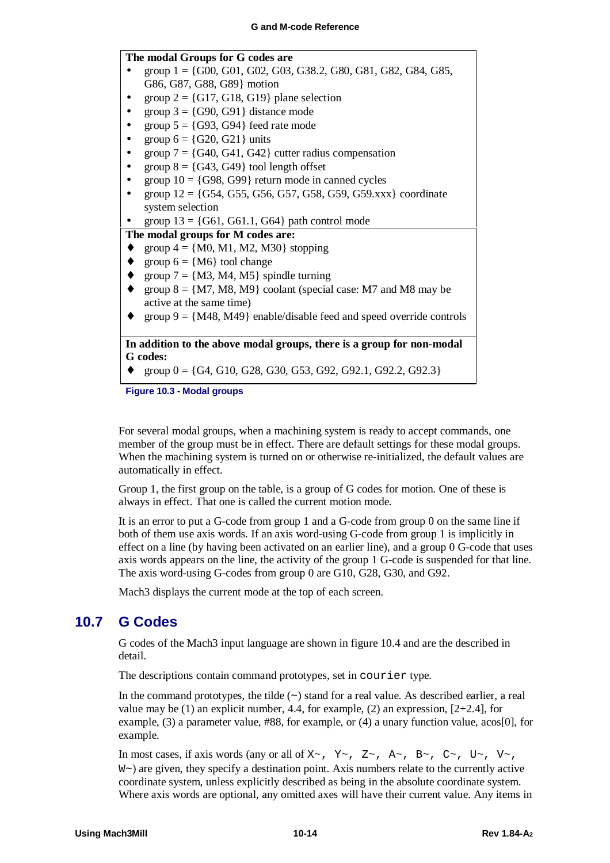| The modal Groups for G codes are                                         |
|--------------------------------------------------------------------------|
| group $1 = \{G00, G01, G02, G03, G38.2, G80, G81, G82, G84, G85,$        |
| G86, G87, G88, G89} motion                                               |
| group $2 = \{G17, G18, G19\}$ plane selection                            |
| group $3 = \{G90, G91\}$ distance mode                                   |
| group $5 = \{G93, G94\}$ feed rate mode                                  |
| group $6 = \{G20, G21\}$ units                                           |
| group $7 = \{G40, G41, G42\}$ cutter radius compensation                 |
| group $8 = \{G43, G49\}$ tool length offset                              |
| group $10 = \{G98, G99\}$ return mode in canned cycles                   |
| group $12 = \{G54, G55, G56, G57, G58, G59, G59, XXX\}$ coordinate       |
| system selection                                                         |
| group $13 = \{G61, G61.1, G64\}$ path control mode                       |
| The modal groups for M codes are:                                        |
| group $4 = \{M0, M1, M2, M30\}$ stopping                                 |
| group $6 = \{M6\}$ tool change                                           |
| group $7 = \{M3, M4, M5\}$ spindle turning                               |
| group $8 = \{M7, M8, M9\}$ coolant (special case: M7 and M8 may be       |
| active at the same time)                                                 |
| $group 9 = \{M48, M49\}$ enable/disable feed and speed override controls |
|                                                                          |
| In addition to the above modal groups, there is a group for non-modal    |
| G codes:                                                                 |
| group $0 = \{G4, G10, G28, G30, G53, G92, G92.1, G92.2, G92.3\}$         |
| Figure 10.3 - Modal groups                                               |
|                                                                          |

For several modal groups, when a machining system is ready to accept commands, one member of the group must be in effect. There are default settings for these modal groups. When the machining system is turned on or otherwise re-initialized, the default values are automatically in effect.

Group 1, the first group on the table, is a group of G codes for motion. One of these is always in effect. That one is called the current motion mode.

It is an error to put a G-code from group 1 and a G-code from group 0 on the same line if both of them use axis words. If an axis word-using G-code from group 1 is implicitly in effect on a line (by having been activated on an earlier line), and a group 0 G-code that uses axis words appears on the line, the activity of the group 1 G-code is suspended for that line. The axis word-using G-codes from group 0 are G10, G28, G30, and G92.

Mach<sub>3</sub> displays the current mode at the top of each screen.

#### $10.7$ **G Codes**

G codes of the Mach3 input language are shown in figure 10.4 and are the described in detail.

The descriptions contain command prototypes, set in courier type.

In the command prototypes, the tilde  $(\sim)$  stand for a real value. As described earlier, a real value may be (1) an explicit number, 4.4, for example, (2) an expression,  $[2+2.4]$ , for example, (3) a parameter value, #88, for example, or (4) a unary function value,  $a\cos[0]$ , for example.

In most cases, if axis words (any or all of  $X \sim$ ,  $Y \sim$ ,  $Z \sim$ ,  $A \sim$ ,  $B \sim$ ,  $C \sim$ ,  $U \sim$ ,  $V \sim$ ,  $W \sim$ ) are given, they specify a destination point. Axis numbers relate to the currently active coordinate system, unless explicitly described as being in the absolute coordinate system. Where axis words are optional, any omitted axes will have their current value. Any items in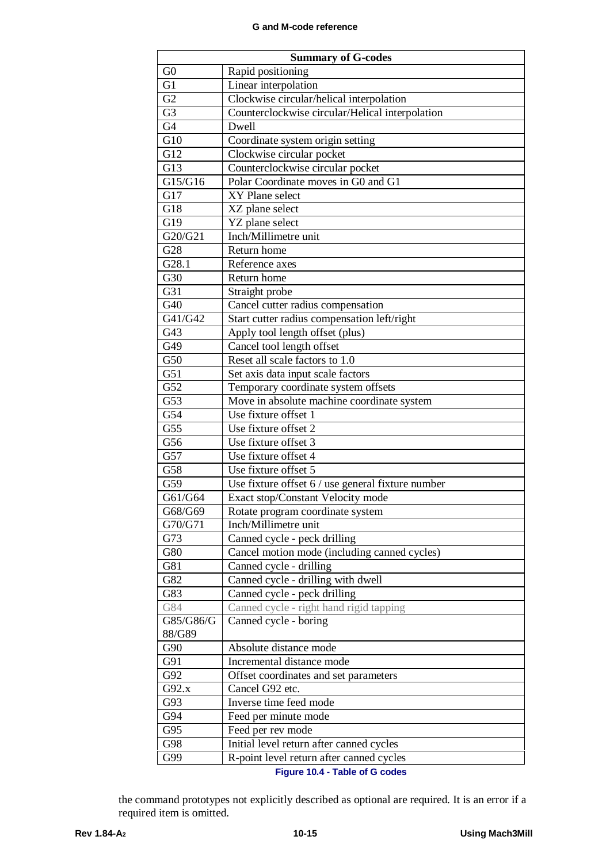| <b>Summary of G-codes</b> |                                                     |  |  |
|---------------------------|-----------------------------------------------------|--|--|
| G <sub>0</sub>            | Rapid positioning                                   |  |  |
| G1                        | Linear interpolation                                |  |  |
| G2                        | Clockwise circular/helical interpolation            |  |  |
| G <sub>3</sub>            | Counterclockwise circular/Helical interpolation     |  |  |
| G <sub>4</sub>            | Dwell                                               |  |  |
| G10                       | Coordinate system origin setting                    |  |  |
| G12                       | Clockwise circular pocket                           |  |  |
| G13                       | Counterclockwise circular pocket                    |  |  |
| $G15\overline{G16}$       | Polar Coordinate moves in G0 and G1                 |  |  |
| G17                       | XY Plane select                                     |  |  |
| G18                       | XZ plane select                                     |  |  |
| G19                       | YZ plane select                                     |  |  |
| $G20\overline{G21}$       | Inch/Millimetre unit                                |  |  |
| G28                       | Return home                                         |  |  |
| G28.1                     | Reference axes                                      |  |  |
| G30                       | Return home                                         |  |  |
| G31                       | Straight probe                                      |  |  |
| G40                       | Cancel cutter radius compensation                   |  |  |
| G41/G42                   | Start cutter radius compensation left/right         |  |  |
| G43                       | Apply tool length offset (plus)                     |  |  |
| G49                       | Cancel tool length offset                           |  |  |
| G50                       | Reset all scale factors to 1.0                      |  |  |
| G51                       | Set axis data input scale factors                   |  |  |
| G52                       | Temporary coordinate system offsets                 |  |  |
| G53                       | Move in absolute machine coordinate system          |  |  |
| G54                       | Use fixture offset 1                                |  |  |
| G55                       | Use fixture offset 2                                |  |  |
| G56                       | Use fixture offset 3                                |  |  |
| G57                       | Use fixture offset 4                                |  |  |
| G58                       | Use fixture offset 5                                |  |  |
| G59                       | Use fixture offset $6 /$ use general fixture number |  |  |
| G61/G64                   | Exact stop/Constant Velocity mode                   |  |  |
| G68/G69                   | Rotate program coordinate system                    |  |  |
| G70/G71                   | Inch/Millimetre unit                                |  |  |
| G73                       | Canned cycle - peck drilling                        |  |  |
| G80                       | Cancel motion mode (including canned cycles)        |  |  |
| G81                       | Canned cycle - drilling                             |  |  |
| G82                       | Canned cycle - drilling with dwell                  |  |  |
| G83                       | Canned cycle - peck drilling                        |  |  |
| G84                       | Canned cycle - right hand rigid tapping             |  |  |
| G85/G86/G                 | Canned cycle - boring                               |  |  |
| 88/G89                    |                                                     |  |  |
| G90                       | Absolute distance mode                              |  |  |
| G91                       | Incremental distance mode                           |  |  |
| G92                       | Offset coordinates and set parameters               |  |  |
| G92.x                     | Cancel G92 etc.                                     |  |  |
| G93                       | Inverse time feed mode                              |  |  |
| G94                       | Feed per minute mode                                |  |  |
| G95                       | Feed per rev mode                                   |  |  |
| G98                       | Initial level return after canned cycles            |  |  |
| G99                       | R-point level return after canned cycles            |  |  |
|                           | Figure 10.4 - Table of G codes                      |  |  |

the command prototypes not explicitly described as optional are required. It is an error if a required item is omitted.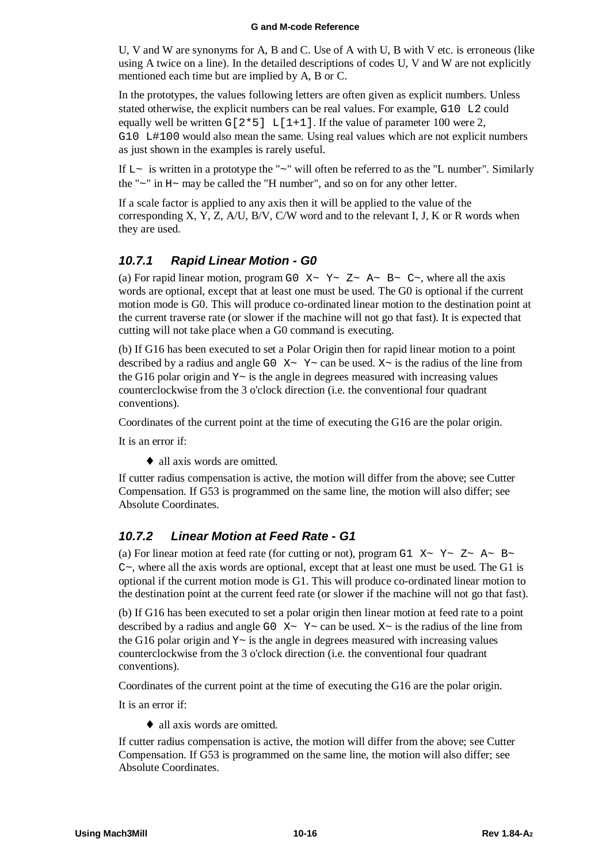U, V and W are synonyms for A, B and C. Use of A with U, B with V etc. is erroneous (like using A twice on a line). In the detailed descriptions of codes U, V and W are not explicitly mentioned each time but are implied by A, B or C.

In the prototypes, the values following letters are often given as explicit numbers. Unless stated otherwise, the explicit numbers can be real values. For example, G10 L2 could equally well be written  $G[2*5]$  L[1+1]. If the value of parameter 100 were 2. G10 L#100 would also mean the same. Using real values which are not explicit numbers as just shown in the examples is rarely useful.

If  $L \sim$  is written in a prototype the " $\sim$ " will often be referred to as the "L number". Similarly the " $\sim$ " in H $\sim$  may be called the "H number", and so on for any other letter.

If a scale factor is applied to any axis then it will be applied to the value of the corresponding  $X, Y, Z, A/U, B/V, C/W$  word and to the relevant I, J, K or R words when they are used.

#### **Rapid Linear Motion - G0**  $10.7.1$

(a) For rapid linear motion, program G0  $X \sim Y \sim Z \sim A \sim B \sim C \sim$ , where all the axis words are optional, except that at least one must be used. The G0 is optional if the current motion mode is G0. This will produce co-ordinated linear motion to the destination point at the current traverse rate (or slower if the machine will not go that fast). It is expected that cutting will not take place when a G0 command is executing.

(b) If G16 has been executed to set a Polar Origin then for rapid linear motion to a point described by a radius and angle G0  $X \sim Y \sim$  can be used.  $X \sim$  is the radius of the line from the G16 polar origin and  $Y \sim$  is the angle in degrees measured with increasing values counterclockwise from the 3 o'clock direction (i.e. the conventional four quadrant conventions).

Coordinates of the current point at the time of executing the G16 are the polar origin.

It is an error if:

 $\bullet$  all axis words are omitted

If cutter radius compensation is active, the motion will differ from the above; see Cutter Compensation. If G53 is programmed on the same line, the motion will also differ; see Absolute Coordinates

#### $10.7.2$ **Linear Motion at Feed Rate - G1**

(a) For linear motion at feed rate (for cutting or not), program G1  $X \sim Y \sim Z \sim A \sim B \sim$  $C_{\sim}$ , where all the axis words are optional, except that at least one must be used. The G1 is optional if the current motion mode is G1. This will produce co-ordinated linear motion to the destination point at the current feed rate (or slower if the machine will not go that fast).

(b) If G16 has been executed to set a polar origin then linear motion at feed rate to a point described by a radius and angle G0  $X \sim Y \sim$  can be used.  $X \sim$  is the radius of the line from the G16 polar origin and  $Y \sim$  is the angle in degrees measured with increasing values counterclockwise from the 3 o'clock direction (i.e. the conventional four quadrant conventions).

Coordinates of the current point at the time of executing the G16 are the polar origin.

It is an error if

 $\bullet$  all axis words are omitted.

If cutter radius compensation is active, the motion will differ from the above; see Cutter Compensation. If G53 is programmed on the same line, the motion will also differ; see Absolute Coordinates.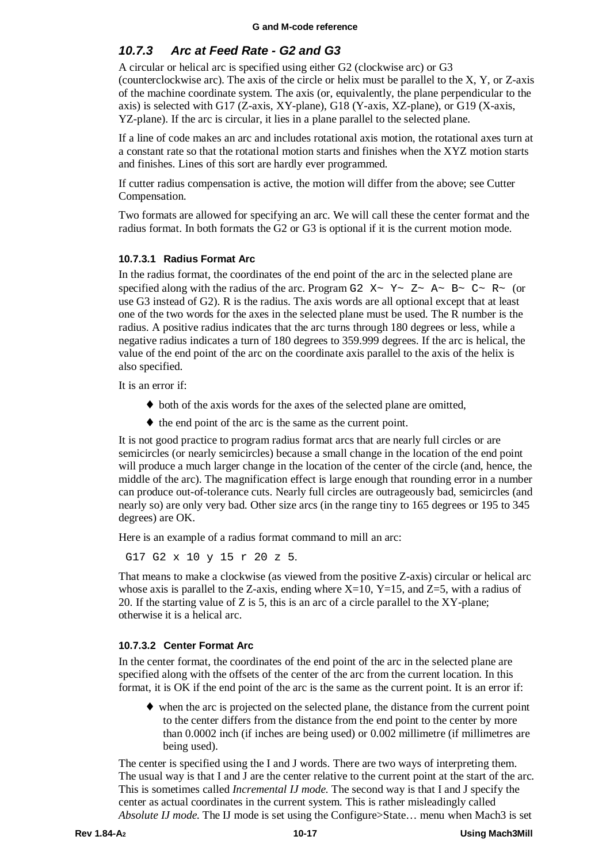#### $10.7.3$ Arc at Feed Rate - G2 and G3

A circular or helical arc is specified using either G2 (clockwise arc) or G3 (counterclockwise arc). The axis of the circle or helix must be parallel to the X, Y, or Z-axis of the machine coordinate system. The axis (or, equivalently, the plane perpendicular to the axis) is selected with G17 (Z-axis, XY-plane), G18 (Y-axis, XZ-plane), or G19 (X-axis, YZ-plane). If the arc is circular, it lies in a plane parallel to the selected plane.

If a line of code makes an arc and includes rotational axis motion, the rotational axes turn at a constant rate so that the rotational motion starts and finishes when the XYZ motion starts and finishes. Lines of this sort are hardly ever programmed.

If cutter radius compensation is active, the motion will differ from the above; see Cutter Compensation.

Two formats are allowed for specifying an arc. We will call these the center format and the radius format. In both formats the G2 or G3 is optional if it is the current motion mode.

### 10.7.3.1 Radius Format Arc

In the radius format, the coordinates of the end point of the arc in the selected plane are specified along with the radius of the arc. Program G2  $X \sim Y \sim Z \sim A \sim B \sim C \sim R \sim (or$ use G3 instead of G2). R is the radius. The axis words are all optional except that at least one of the two words for the axes in the selected plane must be used. The R number is the radius. A positive radius indicates that the arc turns through 180 degrees or less, while a negative radius indicates a turn of 180 degrees to 359.999 degrees. If the arc is helical, the value of the end point of the arc on the coordinate axis parallel to the axis of the helix is also specified.

It is an error if:

- both of the axis words for the axes of the selected plane are omitted,
- $\bullet$  the end point of the arc is the same as the current point.

It is not good practice to program radius format arcs that are nearly full circles or are semicircles (or nearly semicircles) because a small change in the location of the end point will produce a much larger change in the location of the center of the circle (and, hence, the middle of the arc). The magnification effect is large enough that rounding error in a number can produce out-of-tolerance cuts. Nearly full circles are outrageously bad, semicircles (and nearly so) are only very bad. Other size arcs (in the range tiny to 165 degrees or 195 to 345 degrees) are OK.

Here is an example of a radius format command to mill an arc:

G17 G2 x 10 y 15 r 20 z 5.

That means to make a clockwise (as viewed from the positive Z-axis) circular or helical arc whose axis is parallel to the Z-axis, ending where  $X=10$ ,  $Y=15$ , and  $Z=5$ , with a radius of 20. If the starting value of Z is 5, this is an arc of a circle parallel to the  $XY$ -plane; otherwise it is a helical arc.

### 10.7.3.2 Center Format Arc

In the center format, the coordinates of the end point of the arc in the selected plane are specified along with the offsets of the center of the arc from the current location. In this format, it is OK if the end point of the arc is the same as the current point. It is an error if:

• when the arc is projected on the selected plane, the distance from the current point to the center differs from the distance from the end point to the center by more than 0.0002 inch (if inches are being used) or 0.002 millimetre (if millimetres are being used).

The center is specified using the I and J words. There are two ways of interpreting them. The usual way is that I and J are the center relative to the current point at the start of the arc. This is sometimes called *Incremental IJ mode*. The second way is that I and J specify the center as actual coordinates in the current system. This is rather misleadingly called Absolute IJ mode. The IJ mode is set using the Configure>State... menu when Mach3 is set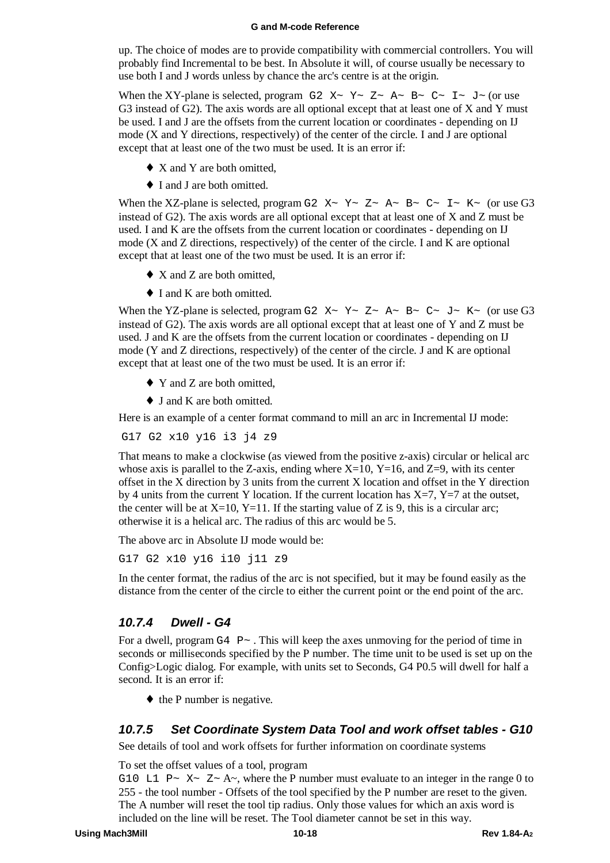up. The choice of modes are to provide compatibility with commercial controllers. You will probably find Incremental to be best. In Absolute it will, of course usually be necessary to use both I and J words unless by chance the arc's centre is at the origin.

When the XY-plane is selected, program G2  $X \sim Y \sim Z \sim A \sim B \sim C \sim I \sim J \sim (or use$ G3 instead of G2). The axis words are all optional except that at least one of X and Y must be used. I and J are the offsets from the current location or coordinates - depending on IJ mode (X and Y directions, respectively) of the center of the circle. I and J are optional except that at least one of the two must be used. It is an error if:

- $\bullet$  X and Y are both omitted.
- I and J are both omitted.

When the XZ-plane is selected, program G2  $X \sim Y \sim Z \sim A \sim B \sim C \sim I \sim K \sim$  (or use G3 instead of G2). The axis words are all optional except that at least one of X and Z must be used. I and K are the offsets from the current location or coordinates - depending on IJ mode (X and Z directions, respectively) of the center of the circle. I and K are optional except that at least one of the two must be used. It is an error if:

- $\bullet$  X and Z are both omitted,
- $\bullet$  I and K are both omitted.

When the YZ-plane is selected, program G2  $X \sim Y \sim Z \sim A \sim B \sim C \sim J \sim K \sim$  (or use G3 instead of G2). The axis words are all optional except that at least one of Y and Z must be used. J and K are the offsets from the current location or coordinates - depending on IJ mode (Y and Z directions, respectively) of the center of the circle. J and K are optional except that at least one of the two must be used. It is an error if:

- $\bullet$  Y and Z are both omitted.
- $\bullet$  J and K are both omitted.

Here is an example of a center format command to mill an arc in Incremental IJ mode:

G17 G2 x10 y16 i3 j4 z9

That means to make a clockwise (as viewed from the positive z-axis) circular or helical arc whose axis is parallel to the Z-axis, ending where  $X=10$ ,  $Y=16$ , and  $Z=9$ , with its center offset in the X direction by 3 units from the current X location and offset in the Y direction by 4 units from the current Y location. If the current location has  $X=7$ ,  $Y=7$  at the outset, the center will be at  $X=10$ ,  $Y=11$ . If the starting value of Z is 9, this is a circular arc; otherwise it is a helical arc. The radius of this arc would be 5.

The above arc in Absolute IJ mode would be:

G17 G2 x10 y16 i10 j11 z9

In the center format, the radius of the arc is not specified, but it may be found easily as the distance from the center of the circle to either the current point or the end point of the arc.

#### $10.7.4$ Dwell - G4

For a dwell, program G4  $P \sim$ . This will keep the axes unmoving for the period of time in seconds or milliseconds specified by the P number. The time unit to be used is set up on the Config>Logic dialog. For example, with units set to Seconds, G4 P0.5 will dwell for half a second. It is an error if:

 $\bullet$  the P number is negative.

#### $10.7.5$ Set Coordinate System Data Tool and work offset tables - G10

See details of tool and work offsets for further information on coordinate systems

To set the offset values of a tool, program

G10 L1 P  $\sim$  X  $\sim$  Z  $\sim$  A $\sim$ , where the P number must evaluate to an integer in the range 0 to 255 - the tool number - Offsets of the tool specified by the P number are reset to the given. The A number will reset the tool tip radius. Only those values for which an axis word is included on the line will be reset. The Tool diameter cannot be set in this way.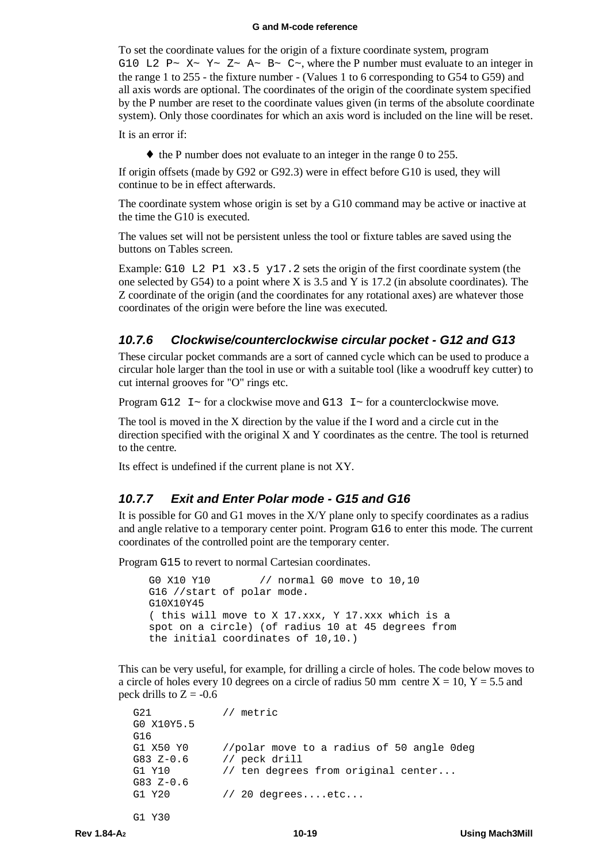To set the coordinate values for the origin of a fixture coordinate system, program G10 L2 P  $\sim$  X  $\sim$  Y  $\sim$  Z  $\sim$  A  $\sim$  B  $\sim$  C  $\sim$ , where the P number must evaluate to an integer in the range 1 to 255 - the fixture number - (Values 1 to 6 corresponding to G54 to G59) and all axis words are optional. The coordinates of the origin of the coordinate system specified by the P number are reset to the coordinate values given (in terms of the absolute coordinate system). Only those coordinates for which an axis word is included on the line will be reset.

It is an error if:

 $\bullet$  the P number does not evaluate to an integer in the range 0 to 255.

If origin offsets (made by G92 or G92.3) were in effect before G10 is used, they will continue to be in effect afterwards.

The coordinate system whose origin is set by a G10 command may be active or inactive at the time the G10 is executed.

The values set will not be persistent unless the tool or fixture tables are saved using the buttons on Tables screen.

Example: G10 L2 P1  $x3.5 y17.2$  sets the origin of the first coordinate system (the one selected by G54) to a point where X is 3.5 and Y is 17.2 (in absolute coordinates). The Z coordinate of the origin (and the coordinates for any rotational axes) are whatever those coordinates of the origin were before the line was executed.

#### $10.76$ Clockwise/counterclockwise circular pocket - G12 and G13

These circular pocket commands are a sort of canned cycle which can be used to produce a circular hole larger than the tool in use or with a suitable tool (like a woodruff key cutter) to cut internal grooves for "O" rings etc.

Program G12  $I \sim$  for a clockwise move and G13  $I \sim$  for a counterclockwise move.

The tool is moved in the X direction by the value if the I word and a circle cut in the direction specified with the original X and Y coordinates as the centre. The tool is returned to the centre.

Its effect is undefined if the current plane is not XY.

#### $10.7.7$ **Exit and Enter Polar mode - G15 and G16**

It is possible for G0 and G1 moves in the  $X/Y$  plane only to specify coordinates as a radius and angle relative to a temporary center point. Program G16 to enter this mode. The current coordinates of the controlled point are the temporary center.

Program G15 to revert to normal Cartesian coordinates.

```
G0 X10 Y10
                  // normal G0 move to 10,10
G16 //start of polar mode.
G10X10Y45
( this will move to X 17.xxx, Y 17.xxx which is a
spot on a circle) (of radius 10 at 45 degrees from
the initial coordinates of 10,10.)
```
This can be very useful, for example, for drilling a circle of holes. The code below moves to a circle of holes every 10 degrees on a circle of radius 50 mm centre  $X = 10$ ,  $Y = 5.5$  and peck drills to  $Z = -0.6$ 

```
G21// metric
G0 X10Y5.5
G16G1 X50 Y0
               //polar move to a radius of 50 angle Odeg
G83 \quad Z-0.6// peck drill
G1 Y10// ten degrees from original center...
G83 \quad Z-0.6// 20 degrees....etc...
G1 Y20
G1 Y30
```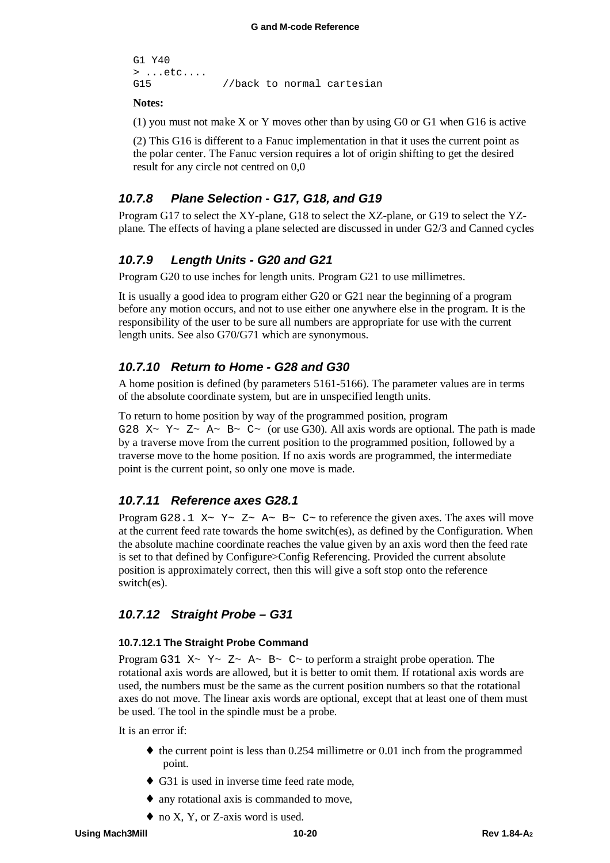```
G1 Y40
>...etc....
              //back to normal cartesian
G15
```
### Notes:

(1) you must not make X or Y moves other than by using  $G0$  or  $G1$  when  $G16$  is active

(2) This G16 is different to a Fanuc implementation in that it uses the current point as the polar center. The Fanuc version requires a lot of origin shifting to get the desired result for any circle not centred on 0,0

#### $10.7.8$ Plane Selection - G17, G18, and G19

Program G17 to select the XY-plane, G18 to select the XZ-plane, or G19 to select the YZplane. The effects of having a plane selected are discussed in under  $G2/3$  and Canned cycles

#### $10.7.9$ **Length Units - G20 and G21**

Program G20 to use inches for length units. Program G21 to use millimetres.

It is usually a good idea to program either G20 or G21 near the beginning of a program before any motion occurs, and not to use either one anywhere else in the program. It is the responsibility of the user to be sure all numbers are appropriate for use with the current length units. See also G70/G71 which are synonymous.

## 10.7.10 Return to Home - G28 and G30

A home position is defined (by parameters 5161-5166). The parameter values are in terms of the absolute coordinate system, but are in unspecified length units.

To return to home position by way of the programmed position, program G28  $X \sim Y \sim Z \sim A \sim B \sim C \sim$  (or use G30). All axis words are optional. The path is made by a traverse move from the current position to the programmed position, followed by a traverse move to the home position. If no axis words are programmed, the intermediate point is the current point, so only one move is made.

## 10.7.11 Reference axes G28.1

Program G28.1  $X \sim Y \sim Z \sim A \sim B \sim C \sim$  to reference the given axes. The axes will move at the current feed rate towards the home switch(es), as defined by the Configuration. When the absolute machine coordinate reaches the value given by an axis word then the feed rate is set to that defined by Configure>Config Referencing. Provided the current absolute position is approximately correct, then this will give a soft stop onto the reference switch(es).

# 10.7.12 Straight Probe - G31

## 10.7.12.1 The Straight Probe Command

Program G31  $X \sim Y \sim Z \sim A \sim B \sim C \sim$  to perform a straight probe operation. The rotational axis words are allowed, but it is better to omit them. If rotational axis words are used, the numbers must be the same as the current position numbers so that the rotational axes do not move. The linear axis words are optional, except that at least one of them must be used. The tool in the spindle must be a probe.

It is an error if:

- $\bullet$  the current point is less than 0.254 millimetre or 0.01 inch from the programmed point.
- G31 is used in inverse time feed rate mode,
- any rotational axis is commanded to move,
- $\bullet$  no X, Y, or Z-axis word is used.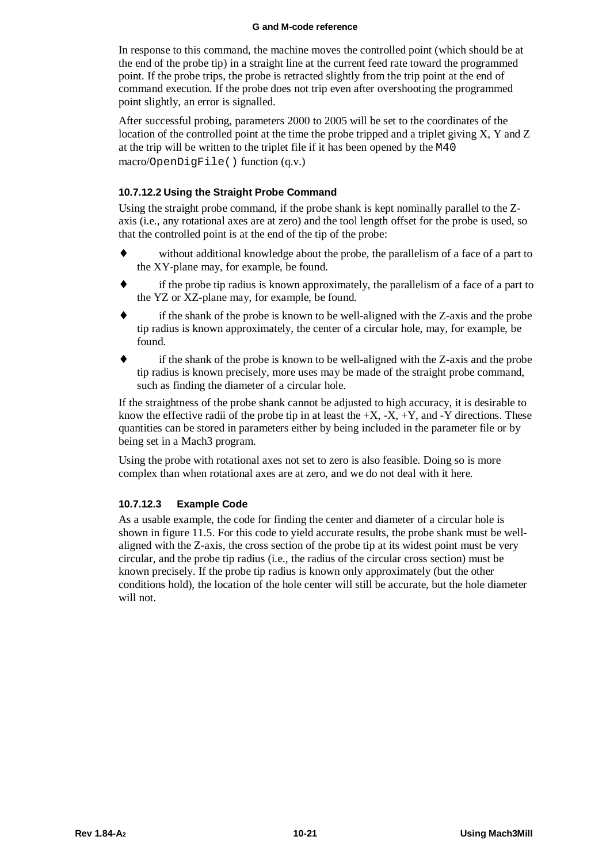In response to this command, the machine moves the controlled point (which should be at the end of the probe tip) in a straight line at the current feed rate toward the programmed point. If the probe trips, the probe is retracted slightly from the trip point at the end of command execution. If the probe does not trip even after overshooting the programmed point slightly, an error is signalled.

After successful probing, parameters 2000 to 2005 will be set to the coordinates of the location of the controlled point at the time the probe tripped and a triplet giving X, Y and Z at the trip will be written to the triplet file if it has been opened by the M40  $macro/OpenDiqFile() function (q.v.)$ 

### 10.7.12.2 Using the Straight Probe Command

Using the straight probe command, if the probe shank is kept nominally parallel to the Zaxis (i.e., any rotational axes are at zero) and the tool length offset for the probe is used, so that the controlled point is at the end of the tip of the probe:

- without additional knowledge about the probe, the parallelism of a face of a part to the XY-plane may, for example, be found.
- if the probe tip radius is known approximately, the parallelism of a face of a part to the YZ or XZ-plane may, for example, be found.
- if the shank of the probe is known to be well-aligned with the Z-axis and the probe  $\bullet$ tip radius is known approximately, the center of a circular hole, may, for example, be found.
- if the shank of the probe is known to be well-aligned with the Z-axis and the probe  $\bullet$ tip radius is known precisely, more uses may be made of the straight probe command, such as finding the diameter of a circular hole.

If the straightness of the probe shank cannot be adjusted to high accuracy, it is desirable to know the effective radii of the probe tip in at least the  $+X$ ,  $-X$ ,  $+Y$ , and  $-Y$  directions. These quantities can be stored in parameters either by being included in the parameter file or by being set in a Mach<sub>3</sub> program.

Using the probe with rotational axes not set to zero is also feasible. Doing so is more complex than when rotational axes are at zero, and we do not deal with it here.

#### $10.7.12.3$ **Example Code**

As a usable example, the code for finding the center and diameter of a circular hole is shown in figure 11.5. For this code to yield accurate results, the probe shank must be wellaligned with the Z-axis, the cross section of the probe tip at its widest point must be very circular, and the probe tip radius (i.e., the radius of the circular cross section) must be known precisely. If the probe tip radius is known only approximately (but the other conditions hold), the location of the hole center will still be accurate, but the hole diameter will not.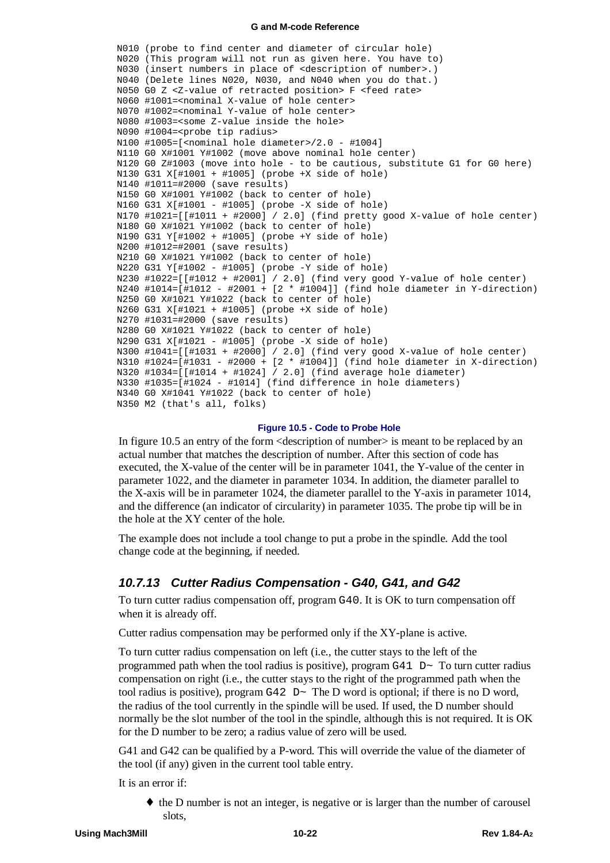N010 (probe to find center and diameter of circular hole) N020 (This program will not run as given here. You have to) N030 (insert numbers in place of <description of number>.) N040 (Delete lines N020, N030, and N040 when you do that.) NO50 GO Z <Z-value of retracted position> F <feed rate> N060 #1001=<nominal X-value of hole center> N070 #1002=<nominal Y-value of hole center>  $N080$  #1003=<some  $Z$ -value inside the hole> N090 #1004=<probe tip radius>  $N100$  #1005=[<nominal hole diameter>/2.0 - #1004] N110 G0 X#1001 Y#1002 (move above nominal hole center) N120 G0 Z#1003 (move into hole - to be cautious, substitute G1 for G0 here) N130 G31 X[#1001 + #1005] (probe +X side of hole) N140 #1011=#2000 (save results) N150 G0 X#1001 Y#1002 (back to center of hole)  $N160 G31 X[#1001 - #1005]$  (probe -X side of hole) N170 #1021=[[#1011 + #2000] / 2.0] (find pretty good X-value of hole center) N180 G0 X#1021 Y#1002 (back to center of hole) N190 G31 Y[#1002 + #1005] (probe +Y side of hole) N200 #1012=#2001 (save results) N210 G0 X#1021 Y#1002 (back to center of hole) N220 G31 Y[#1002 - #1005] (probe -Y side of hole) N230 #1022=[[#1012 + #2001] / 2.0] (find very good Y-value of hole center) N240 #1014=[#1012 - #2001 + [2 \* #1004]] (find hole diameter in Y-direction) N250 G0 X#1021 Y#1022 (back to center of hole)  $N260$  G31 X[#1021 + #1005] (probe +X side of hole) N270 #1031=#2000 (save results) N280 G0 X#1021 Y#1022 (back to center of hole) N290 G31 X[#1021 - #1005] (probe -X side of hole) N300 #1041=[[#1031 + #2000] / 2.0] (find very good X-value of hole center) N310 #1024=[#1031 - #2000 + [2 \* #1004]] (find hole diameter in X-direction) N320 #1034=[[#1014 + #1024] / 2.0] (find average hole diameter)  $N330$  #1035= $[41024 - 41014]$  (find difference in hole diameters) N340 G0 X#1041 Y#1022 (back to center of hole) N350 M2 (that's all, folks)

### Figure 10.5 - Code to Probe Hole

In figure 10.5 an entry of the form <description of number> is meant to be replaced by an actual number that matches the description of number. After this section of code has executed, the X-value of the center will be in parameter 1041, the Y-value of the center in parameter 1022, and the diameter in parameter 1034. In addition, the diameter parallel to the X-axis will be in parameter 1024, the diameter parallel to the Y-axis in parameter 1014, and the difference (an indicator of circularity) in parameter 1035. The probe tip will be in the hole at the XY center of the hole.

The example does not include a tool change to put a probe in the spindle. Add the tool change code at the beginning, if needed.

## 10.7.13 Cutter Radius Compensation - G40, G41, and G42

To turn cutter radius compensation off, program G40. It is OK to turn compensation off when it is already off.

Cutter radius compensation may be performed only if the XY-plane is active.

To turn cutter radius compensation on left (i.e., the cutter stays to the left of the programmed path when the tool radius is positive), program G41  $\Gamma$  D $\sim$  To turn cutter radius compensation on right (i.e., the cutter stays to the right of the programmed path when the tool radius is positive), program G42  $D \sim$  The D word is optional; if there is no D word, the radius of the tool currently in the spindle will be used. If used, the D number should normally be the slot number of the tool in the spindle, although this is not required. It is OK for the D number to be zero; a radius value of zero will be used.

G41 and G42 can be qualified by a P-word. This will override the value of the diameter of the tool (if any) given in the current tool table entry.

It is an error if:

 $\bullet$  the D number is not an integer, is negative or is larger than the number of carousel slots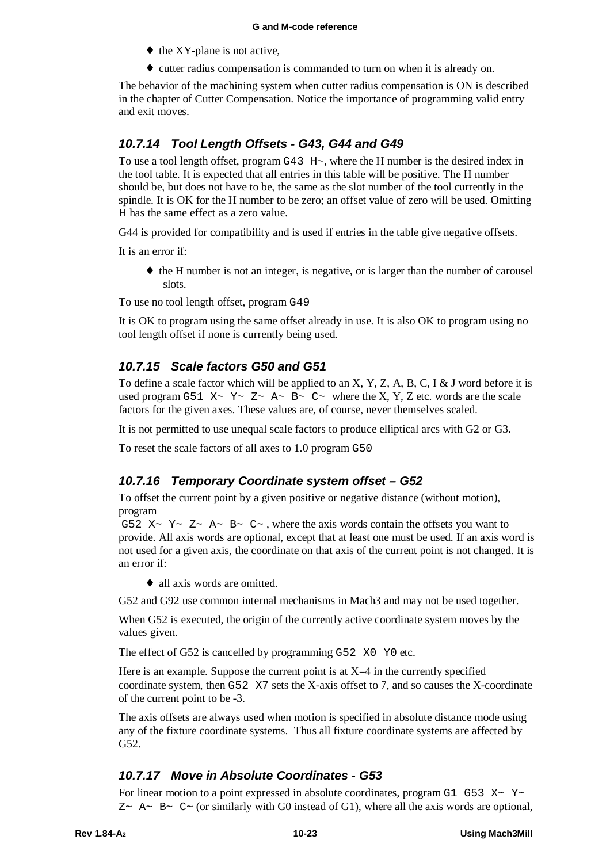- $\bullet$  the XY-plane is not active,
- $\bullet$  cutter radius compensation is commanded to turn on when it is already on.

The behavior of the machining system when cutter radius compensation is ON is described in the chapter of Cutter Compensation. Notice the importance of programming valid entry and exit moves.

## 10.7.14 Tool Length Offsets - G43, G44 and G49

To use a tool length offset, program G43  $H\sim$ , where the H number is the desired index in the tool table. It is expected that all entries in this table will be positive. The H number should be, but does not have to be, the same as the slot number of the tool currently in the spindle. It is OK for the H number to be zero; an offset value of zero will be used. Omitting H has the same effect as a zero value.

G44 is provided for compatibility and is used if entries in the table give negative offsets.

It is an error if:

 $\bullet$  the H number is not an integer, is negative, or is larger than the number of carousel slots.

To use no tool length offset, program G49

It is OK to program using the same offset already in use. It is also OK to program using no tool length offset if none is currently being used.

## 10.7.15 Scale factors G50 and G51

To define a scale factor which will be applied to an X, Y, Z, A, B, C, I & J word before it is used program G51  $X \sim Y \sim Z \sim A \sim B \sim C \sim$  where the X, Y, Z etc. words are the scale factors for the given axes. These values are, of course, never themselves scaled.

It is not permitted to use unequal scale factors to produce elliptical arcs with G2 or G3.

To reset the scale factors of all axes to 1.0 program G50

## 10.7.16 Temporary Coordinate system offset - G52

To offset the current point by a given positive or negative distance (without motion), program

G52  $X \sim Y \sim Z \sim A \sim B \sim C \sim$ , where the axis words contain the offsets you want to provide. All axis words are optional, except that at least one must be used. If an axis word is not used for a given axis, the coordinate on that axis of the current point is not changed. It is an error if:

 $\bullet$  all axis words are omitted.

G52 and G92 use common internal mechanisms in Mach3 and may not be used together.

When G52 is executed, the origin of the currently active coordinate system moves by the values given.

The effect of G52 is cancelled by programming G52 X0 Y0 etc.

Here is an example. Suppose the current point is at  $X=4$  in the currently specified coordinate system, then G52 X7 sets the X-axis offset to 7, and so causes the X-coordinate of the current point to be -3.

The axis offsets are always used when motion is specified in absolute distance mode using any of the fixture coordinate systems. Thus all fixture coordinate systems are affected by G52.

## 10.7.17 Move in Absolute Coordinates - G53

For linear motion to a point expressed in absolute coordinates, program G1 G53  $\text{X} \sim \text{Y} \sim$  $Z \sim A \sim B \sim C \sim$  (or similarly with G0 instead of G1), where all the axis words are optional.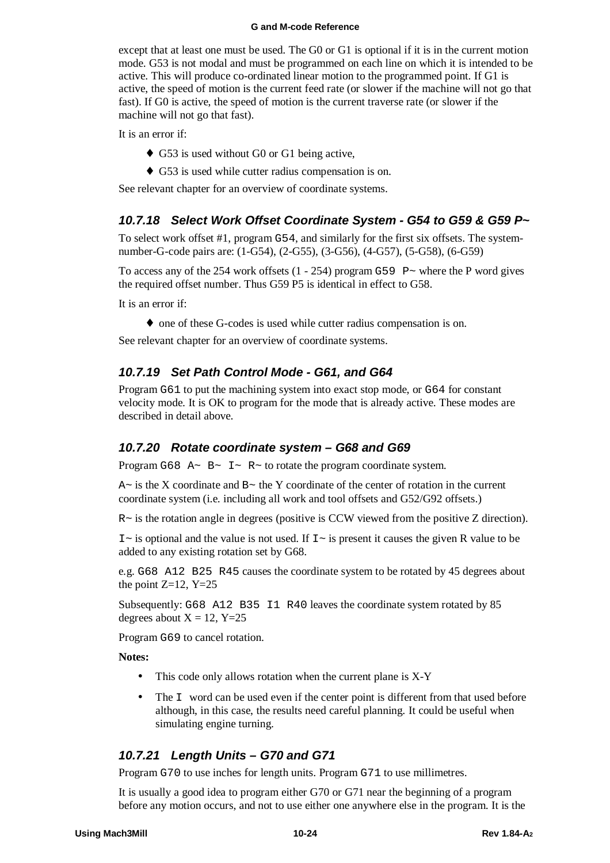except that at least one must be used. The G0 or G1 is optional if it is in the current motion mode. G53 is not modal and must be programmed on each line on which it is intended to be active. This will produce co-ordinated linear motion to the programmed point. If G1 is active, the speed of motion is the current feed rate (or slower if the machine will not go that fast). If G0 is active, the speed of motion is the current traverse rate (or slower if the machine will not go that fast).

It is an error if:

- $\triangle$  G53 is used without G0 or G1 being active.
- $\triangleleft$  G53 is used while cutter radius compensation is on.

See relevant chapter for an overview of coordinate systems.

## 10.7.18 Select Work Offset Coordinate System - G54 to G59 & G59 P~

To select work offset #1, program G54, and similarly for the first six offsets. The systemnumber-G-code pairs are: (1-G54), (2-G55), (3-G56), (4-G57), (5-G58), (6-G59)

To access any of the 254 work offsets (1 - 254) program G59  $\,$  P $\sim$  where the P word gives the required offset number. Thus G59 P5 is identical in effect to G58.

It is an error if:

 $\bullet$  one of these G-codes is used while cutter radius compensation is on.

See relevant chapter for an overview of coordinate systems.

## 10.7.19 Set Path Control Mode - G61, and G64

Program G61 to put the machining system into exact stop mode, or G64 for constant velocity mode. It is OK to program for the mode that is already active. These modes are described in detail above.

## 10.7.20 Rotate coordinate system - G68 and G69

Program G68 A~ B~ I~ R~ to rotate the program coordinate system.

 $A\sim$  is the X coordinate and  $B\sim$  the Y coordinate of the center of rotation in the current coordinate system (i.e. including all work and tool offsets and G52/G92 offsets.)

 $R\sim$  is the rotation angle in degrees (positive is CCW viewed from the positive Z direction).

 $I\sim$  is optional and the value is not used. If  $I\sim$  is present it causes the given R value to be added to any existing rotation set by G68.

e.g. G68 A12 B25 R45 causes the coordinate system to be rotated by 45 degrees about the point  $Z=12$ ,  $Y=25$ 

Subsequently: G68 A12 B35 I1 R40 leaves the coordinate system rotated by 85 degrees about  $X = 12$ ,  $Y=25$ 

Program G69 to cancel rotation.

Notes:

- This code only allows rotation when the current plane is X-Y
- The I word can be used even if the center point is different from that used before  $\bullet$ although, in this case, the results need careful planning. It could be useful when simulating engine turning.

## 10.7.21 Length Units - G70 and G71

Program G70 to use inches for length units. Program G71 to use millimetres.

It is usually a good idea to program either G70 or G71 near the beginning of a program before any motion occurs, and not to use either one anywhere else in the program. It is the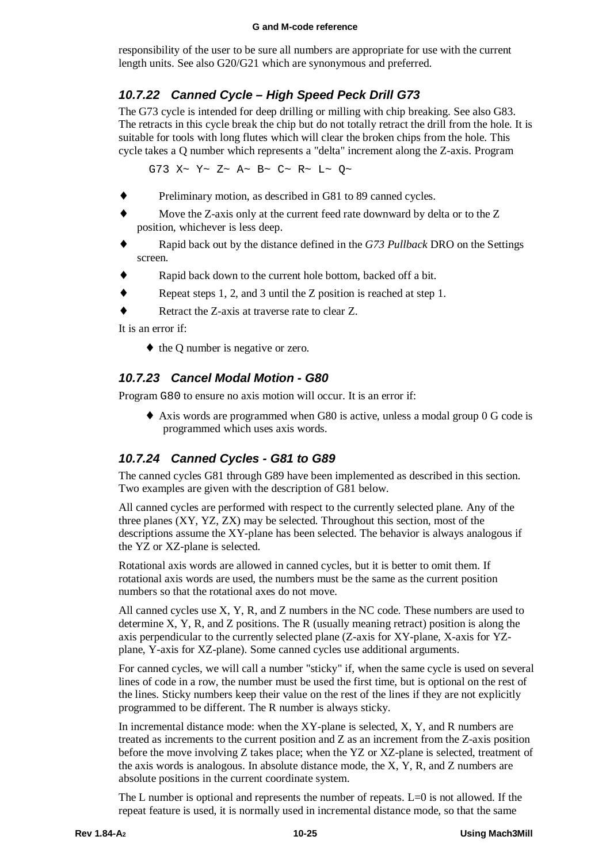responsibility of the user to be sure all numbers are appropriate for use with the current length units. See also G20/G21 which are synonymous and preferred.

## 10.7.22 Canned Cycle - High Speed Peck Drill G73

The G73 cycle is intended for deep drilling or milling with chip breaking. See also G83. The retracts in this cycle break the chip but do not totally retract the drill from the hole. It is suitable for tools with long flutes which will clear the broken chips from the hole. This cycle takes a Q number which represents a "delta" increment along the Z-axis. Program

G73 X~ Y~ Z~ A~ B~ C~ R~ L~ O~

- Preliminary motion, as described in G81 to 89 canned cycles.
- Move the Z-axis only at the current feed rate downward by delta or to the Z position, whichever is less deep.
- Rapid back out by the distance defined in the G73 Pullback DRO on the Settings screen.
- Rapid back down to the current hole bottom, backed off a bit.
- Repeat steps 1, 2, and 3 until the Z position is reached at step 1.  $\bullet$
- Retract the Z-axis at traverse rate to clear Z.

It is an error if:

 $\bullet$  the Q number is negative or zero.

## 10.7.23 Cancel Modal Motion - G80

Program G80 to ensure no axis motion will occur. It is an error if:

 $\triangle$  Axis words are programmed when G80 is active, unless a modal group 0 G code is programmed which uses axis words.

## 10.7.24 Canned Cycles - G81 to G89

The canned cycles G81 through G89 have been implemented as described in this section. Two examples are given with the description of G81 below.

All canned cycles are performed with respect to the currently selected plane. Any of the three planes  $(XY, YZ, ZX)$  may be selected. Throughout this section, most of the descriptions assume the XY-plane has been selected. The behavior is always analogous if the YZ or XZ-plane is selected.

Rotational axis words are allowed in canned cycles, but it is better to omit them. If rotational axis words are used, the numbers must be the same as the current position numbers so that the rotational axes do not move.

All canned cycles use X, Y, R, and Z numbers in the NC code. These numbers are used to determine  $X, Y, R$ , and  $Z$  positions. The R (usually meaning retract) position is along the axis perpendicular to the currently selected plane (Z-axis for XY-plane, X-axis for YZplane, Y-axis for XZ-plane). Some canned cycles use additional arguments.

For canned cycles, we will call a number "sticky" if, when the same cycle is used on several lines of code in a row, the number must be used the first time, but is optional on the rest of the lines. Sticky numbers keep their value on the rest of the lines if they are not explicitly programmed to be different. The R number is always sticky.

In incremental distance mode: when the  $XY$ -plane is selected,  $X$ ,  $Y$ , and  $R$  numbers are treated as increments to the current position and Z as an increment from the Z-axis position before the move involving Z takes place; when the YZ or XZ-plane is selected, treatment of the axis words is analogous. In absolute distance mode, the  $X, Y, R$ , and  $Z$  numbers are absolute positions in the current coordinate system.

The L number is optional and represents the number of repeats.  $L=0$  is not allowed. If the repeat feature is used, it is normally used in incremental distance mode, so that the same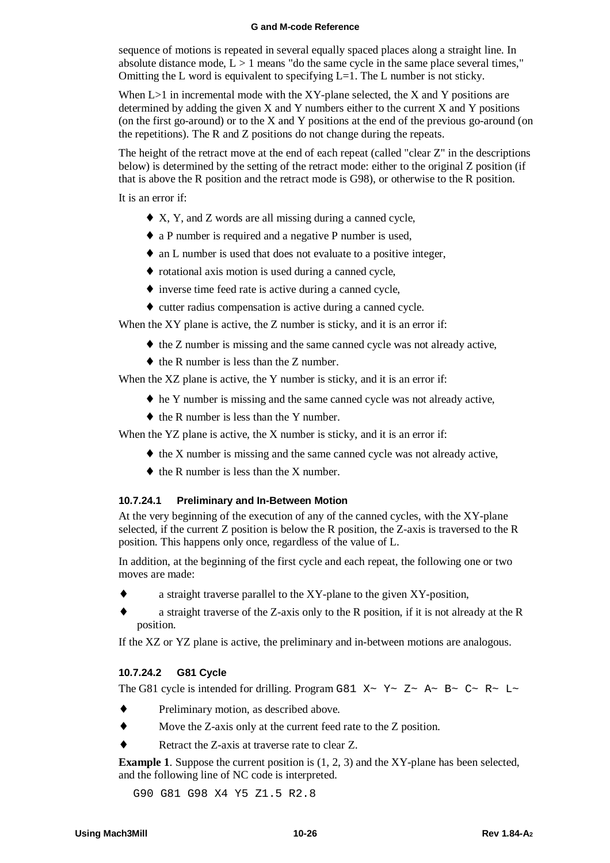sequence of motions is repeated in several equally spaced places along a straight line. In absolute distance mode,  $L > 1$  means "do the same cycle in the same place several times." Omitting the L word is equivalent to specifying  $L=1$ . The L number is not sticky.

When  $L > 1$  in incremental mode with the XY-plane selected, the X and Y positions are determined by adding the given  $X$  and  $Y$  numbers either to the current  $X$  and  $Y$  positions (on the first go-around) or to the  $X$  and  $Y$  positions at the end of the previous go-around (on the repetitions). The R and Z positions do not change during the repeats.

The height of the retract move at the end of each repeat (called "clear Z" in the descriptions below) is determined by the setting of the retract mode: either to the original Z position (if that is above the R position and the retract mode is G98), or otherwise to the R position.

It is an error if:

- $\bullet$  X, Y, and Z words are all missing during a canned cycle,
- $\bullet$  a P number is required and a negative P number is used,
- $\bullet$  an L number is used that does not evaluate to a positive integer,
- rotational axis motion is used during a canned cycle,
- $\bullet$  inverse time feed rate is active during a canned cycle,
- cutter radius compensation is active during a canned cycle.

When the XY plane is active, the  $Z$  number is sticky, and it is an error if:

- $\bullet$  the Z number is missing and the same canned cycle was not already active,
- $\bullet$  the R number is less than the Z number.

When the XZ plane is active, the Y number is sticky, and it is an error if:

- $\bullet$  he Y number is missing and the same canned cycle was not already active.
- $\bullet$  the R number is less than the Y number.

When the YZ plane is active, the X number is sticky, and it is an error if:

- $\bullet$  the X number is missing and the same canned cycle was not already active,
- $\bullet$  the R number is less than the X number.

#### **Preliminary and In-Between Motion** 10.7.24.1

At the very beginning of the execution of any of the canned cycles, with the XY-plane selected, if the current Z position is below the R position, the Z-axis is traversed to the R position. This happens only once, regardless of the value of L.

In addition, at the beginning of the first cycle and each repeat, the following one or two moves are made:

- a straight traverse parallel to the XY-plane to the given XY-position,
- a straight traverse of the Z-axis only to the R position, if it is not already at the R position.

If the XZ or YZ plane is active, the preliminary and in-between motions are analogous.

#### 10.7.24.2 G81 Cycle

The G81 cycle is intended for drilling. Program G81  $X \sim Y \sim Z \sim A \sim B \sim C \sim R \sim L \sim$ 

- $\bullet$ Preliminary motion, as described above.
- Move the Z-axis only at the current feed rate to the Z position.
- Retract the Z-axis at traverse rate to clear Z.

**Example 1.** Suppose the current position is (1, 2, 3) and the XY-plane has been selected, and the following line of NC code is interpreted.

G90 G81 G98 X4 Y5 Z1.5 R2.8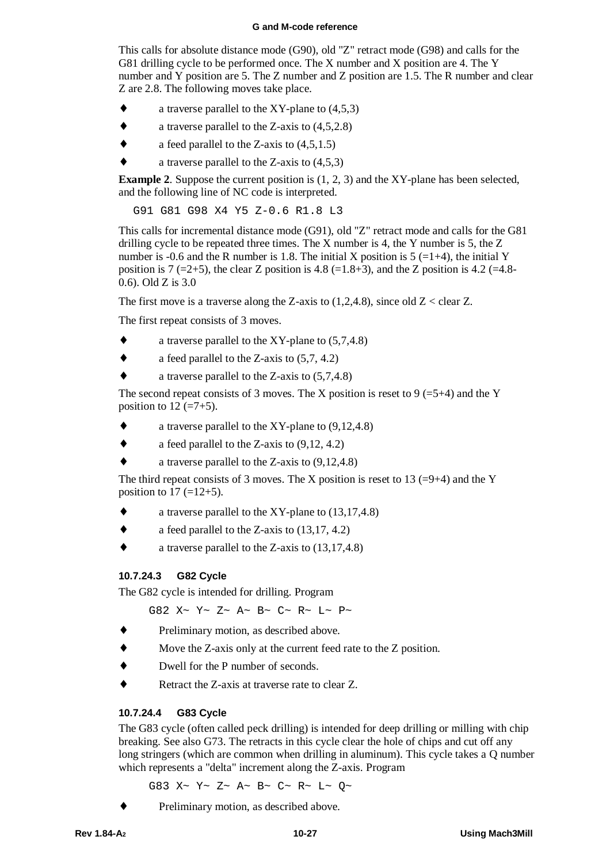This calls for absolute distance mode (G90), old "Z" retract mode (G98) and calls for the G81 drilling cycle to be performed once. The X number and X position are 4. The Y number and Y position are 5. The Z number and Z position are 1.5. The R number and clear Z are 2.8. The following moves take place.

- a traverse parallel to the XY-plane to  $(4.5.3)$  $\bullet$
- a traverse parallel to the Z-axis to  $(4,5,2.8)$
- a feed parallel to the Z-axis to  $(4,5,1.5)$  $\blacktriangle$
- a traverse parallel to the Z-axis to  $(4,5,3)$

**Example 2.** Suppose the current position is  $(1, 2, 3)$  and the XY-plane has been selected, and the following line of NC code is interpreted.

G91 G81 G98 X4 Y5 Z-0.6 R1.8 L3

This calls for incremental distance mode (G91), old "Z" retract mode and calls for the G81 drilling cycle to be repeated three times. The X number is 4, the Y number is 5, the  $Z$ number is -0.6 and the R number is 1.8. The initial X position is  $5 (=1+4)$ , the initial Y position is 7 (=2+5), the clear Z position is 4.8 (=1.8+3), and the Z position is 4.2 (=4.8- $(0.6)$ . Old Z is  $3.0$ 

The first move is a traverse along the Z-axis to  $(1.2.4.8)$ , since old Z < clear Z.

The first repeat consists of 3 moves.

- a traverse parallel to the XY-plane to  $(5,7,4.8)$  $\bullet$
- a feed parallel to the Z-axis to  $(5,7, 4.2)$  $\blacktriangle$
- a traverse parallel to the  $Z$ -axis to  $(5.7.4.8)$

The second repeat consists of 3 moves. The X position is reset to 9 (=5+4) and the Y position to 12  $(=7+5)$ .

- a traverse parallel to the XY-plane to  $(9,12,4.8)$
- a feed parallel to the Z-axis to  $(9,12, 4.2)$  $\bullet$
- a traverse parallel to the Z-axis to  $(9,12,4.8)$

The third repeat consists of 3 moves. The X position is reset to 13 (=9+4) and the Y position to 17  $(=12+5)$ .

- a traverse parallel to the XY-plane to  $(13,17,4.8)$  $\bullet$
- a feed parallel to the Z-axis to  $(13,17, 4.2)$
- a traverse parallel to the  $Z$ -axis to  $(13,17,4.8)$  $\blacktriangle$

#### 10.7.24.3 G82 Cycle

The G82 cycle is intended for drilling. Program

G82 X~ Y~ Z~ A~ B~ C~ R~ L~ P~

- Preliminary motion, as described above.  $\bullet$
- Move the Z-axis only at the current feed rate to the Z position.  $\bullet$
- Dwell for the P number of seconds.
- Retract the Z-axis at traverse rate to clear Z.  $\blacktriangle$

#### 10.7.24.4 G83 Cycle

The G83 cycle (often called peck drilling) is intended for deep drilling or milling with chip breaking. See also G73. The retracts in this cycle clear the hole of chips and cut off any long stringers (which are common when drilling in aluminum). This cycle takes a Q number which represents a "delta" increment along the Z-axis. Program

- G83 X~ Y~ Z~ A~ B~ C~ R~ L~ O~
- Preliminary motion, as described above.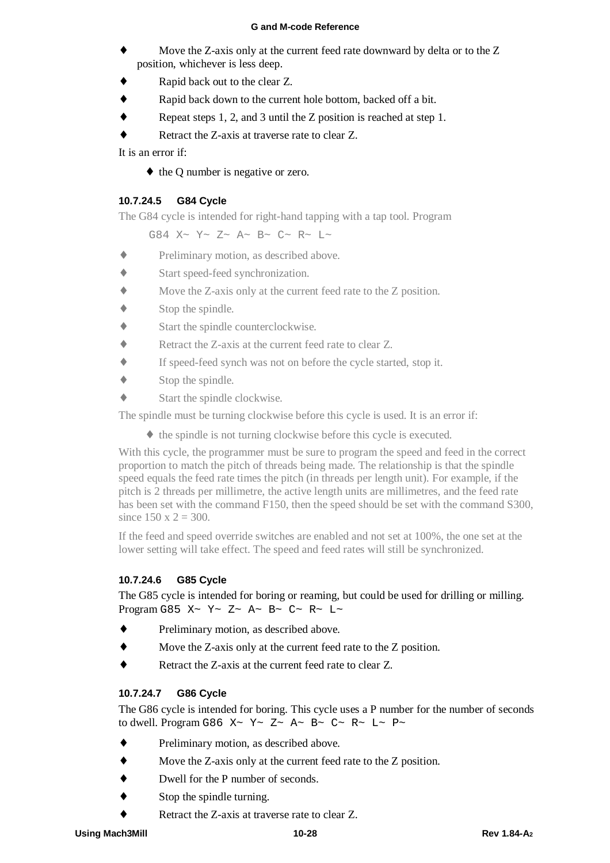- Move the Z-axis only at the current feed rate downward by delta or to the Z position, whichever is less deep.
- Rapid back out to the clear Z.
- Rapid back down to the current hole bottom, backed off a bit.  $\blacktriangle$
- Repeat steps 1, 2, and 3 until the  $Z$  position is reached at step 1.
- Retract the Z-axis at traverse rate to clear Z.

It is an error if:

 $\bullet$  the Q number is negative or zero.

#### 10.7.24.5 G84 Cycle

The G84 cycle is intended for right-hand tapping with a tap tool. Program

G84 X~ Y~ Z~ A~ B~ C~ R~ L~

- Preliminary motion, as described above.  $\triangle$
- Â Start speed-feed synchronization.
- Move the Z-axis only at the current feed rate to the Z position.
- Stop the spindle.
- Start the spindle counterclockwise.  $\Delta$
- Retract the Z-axis at the current feed rate to clear Z. Â
- If speed-feed synch was not on before the cycle started, stop it.  $\triangle$
- Stop the spindle.  $\blacktriangle$
- Start the spindle clockwise.  $\Delta$

The spindle must be turning clockwise before this cycle is used. It is an error if:

 $\bullet$  the spindle is not turning clockwise before this cycle is executed.

With this cycle, the programmer must be sure to program the speed and feed in the correct proportion to match the pitch of threads being made. The relationship is that the spindle speed equals the feed rate times the pitch (in threads per length unit). For example, if the pitch is 2 threads per millimetre, the active length units are millimetres, and the feed rate has been set with the command F150, then the speed should be set with the command S300, since  $150 \times 2 = 300$ .

If the feed and speed override switches are enabled and not set at 100%, the one set at the lower setting will take effect. The speed and feed rates will still be synchronized.

#### 10 7 24 6 G85 Cvcle

The G85 cycle is intended for boring or reaming, but could be used for drilling or milling. Program G85  $X \sim Y \sim Z \sim A \sim B \sim C \sim R \sim L \sim$ 

- Preliminary motion, as described above.
- Move the Z-axis only at the current feed rate to the Z position.
- Retract the Z-axis at the current feed rate to clear Z.

#### 10.7.24.7 G86 Cvcle

The G86 cycle is intended for boring. This cycle uses a P number for the number of seconds to dwell. Program G86  $X \sim Y \sim Z \sim A \sim B \sim C \sim R \sim L \sim P \sim$ 

- Preliminary motion, as described above.  $\bullet$
- Move the Z-axis only at the current feed rate to the Z position.  $\blacktriangle$
- Dwell for the P number of seconds.  $\blacktriangle$
- Stop the spindle turning. ٠
- Retract the Z-axis at traverse rate to clear Z.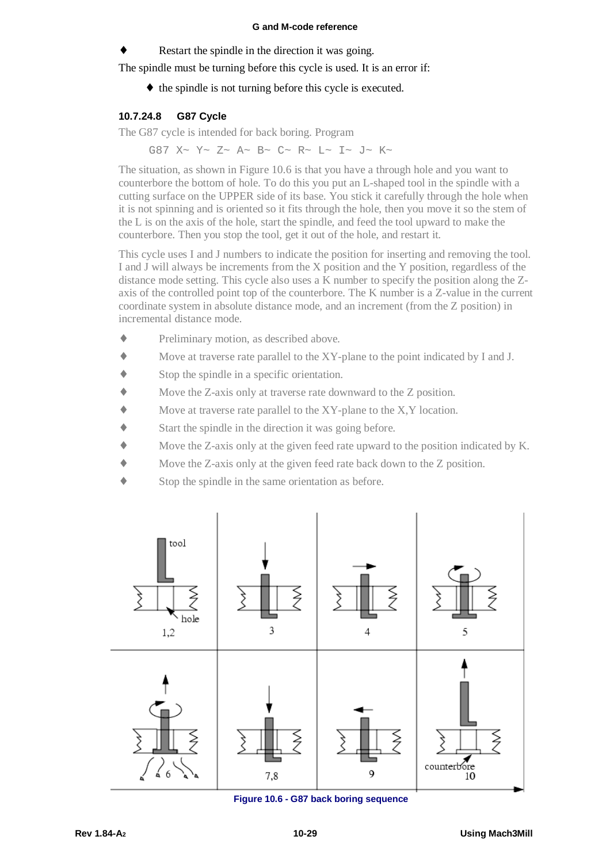Restart the spindle in the direction it was going.

The spindle must be turning before this cycle is used. It is an error if:

 $\bullet$  the spindle is not turning before this cycle is executed.

#### 10.7.24.8 G87 Cycle

The G87 cycle is intended for back boring. Program

G87 X~ Y~ Z~ A~ B~ C~ R~ L~ I~ J~ K~

The situation, as shown in Figure 10.6 is that you have a through hole and you want to counterbore the bottom of hole. To do this you put an L-shaped tool in the spindle with a cutting surface on the UPPER side of its base. You stick it carefully through the hole when it is not spinning and is oriented so it fits through the hole, then you move it so the stem of the L is on the axis of the hole, start the spindle, and feed the tool upward to make the counterbore. Then you stop the tool, get it out of the hole, and restart it.

This cycle uses I and J numbers to indicate the position for inserting and removing the tool. I and J will always be increments from the X position and the Y position, regardless of the distance mode setting. This cycle also uses a K number to specify the position along the Zaxis of the controlled point top of the counterbore. The K number is a Z-value in the current coordinate system in absolute distance mode, and an increment (from the Z position) in incremental distance mode.

- Preliminary motion, as described above.
- Move at traverse rate parallel to the XY-plane to the point indicated by I and J.
- Stop the spindle in a specific orientation. Â
- Move the Z-axis only at traverse rate downward to the Z position.  $\blacktriangle$
- Move at traverse rate parallel to the XY-plane to the X,Y location. ۵
- Start the spindle in the direction it was going before.
- Move the Z-axis only at the given feed rate upward to the position indicated by K.
- Move the Z-axis only at the given feed rate back down to the Z position.  $\blacktriangle$
- Stop the spindle in the same orientation as before.  $\triangle$



Figure 10.6 - G87 back boring sequence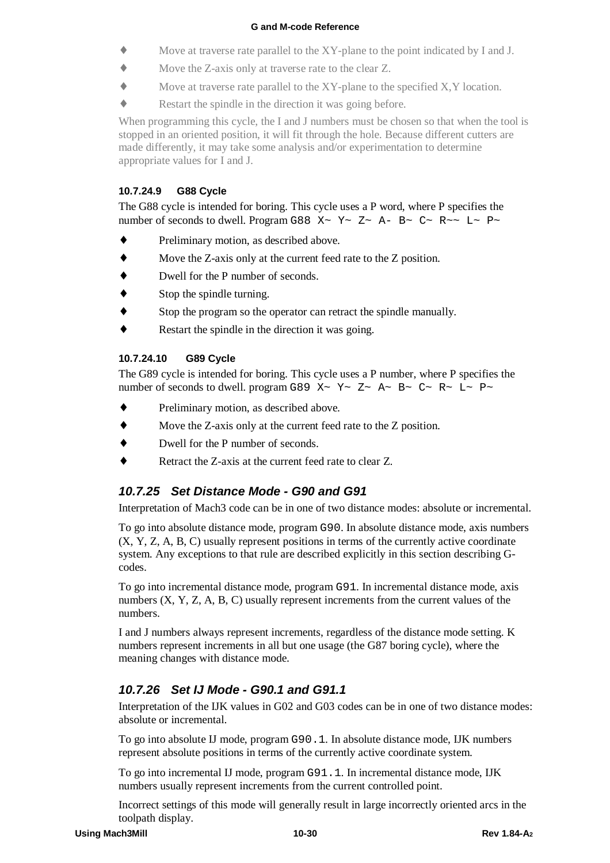- Move at traverse rate parallel to the XY-plane to the point indicated by I and J.  $\bullet$
- Move the Z-axis only at traverse rate to the clear Z.  $\ddot{\bullet}$
- Move at traverse rate parallel to the XY-plane to the specified X, Y location.  $\hat{\mathbf{r}}$
- Restart the spindle in the direction it was going before.  $\triangle$

When programming this cycle, the I and J numbers must be chosen so that when the tool is stopped in an oriented position, it will fit through the hole. Because different cutters are made differently, it may take some analysis and/or experimentation to determine appropriate values for I and J.

#### 10 7 24 9 G88 Cycle

The G88 cvcle is intended for boring. This cycle uses a P word, where P specifies the number of seconds to dwell. Program G88  $X \sim Y \sim Z \sim A - B \sim C \sim R \sim L \sim P \sim$ 

- Preliminary motion, as described above.
- Move the Z-axis only at the current feed rate to the Z position.  $\bullet$
- Dwell for the P number of seconds.
- Stop the spindle turning.  $\blacktriangle$
- Stop the program so the operator can retract the spindle manually.
- Restart the spindle in the direction it was going.  $\bullet$

#### 10.7.24.10 G89 Cycle

The G89 cycle is intended for boring. This cycle uses a P number, where P specifies the number of seconds to dwell. program G89  $X \sim Y \sim Z \sim A \sim B \sim C \sim R \sim L \sim P \sim$ 

- Preliminary motion, as described above.  $\bullet$
- $\blacktriangle$ Move the Z-axis only at the current feed rate to the Z position.
- Dwell for the P number of seconds.  $\blacktriangle$
- Retract the Z-axis at the current feed rate to clear Z.

## 10.7.25 Set Distance Mode - G90 and G91

Interpretation of Mach3 code can be in one of two distance modes: absolute or incremental.

To go into absolute distance mode, program G90. In absolute distance mode, axis numbers (X, Y, Z, A, B, C) usually represent positions in terms of the currently active coordinate system. Any exceptions to that rule are described explicitly in this section describing Gcodes.

To go into incremental distance mode, program G91. In incremental distance mode, axis numbers  $(X, Y, Z, A, B, C)$  usually represent increments from the current values of the numbers.

I and J numbers always represent increments, regardless of the distance mode setting. K numbers represent increments in all but one usage (the G87 boring cycle), where the meaning changes with distance mode.

## 10.7.26 Set IJ Mode - G90.1 and G91.1

Interpretation of the IJK values in G02 and G03 codes can be in one of two distance modes: absolute or incremental.

To go into absolute IJ mode, program G90.1. In absolute distance mode, IJK numbers represent absolute positions in terms of the currently active coordinate system.

To go into incremental IJ mode, program G91.1. In incremental distance mode, IJK numbers usually represent increments from the current controlled point.

Incorrect settings of this mode will generally result in large incorrectly oriented arcs in the toolpath display.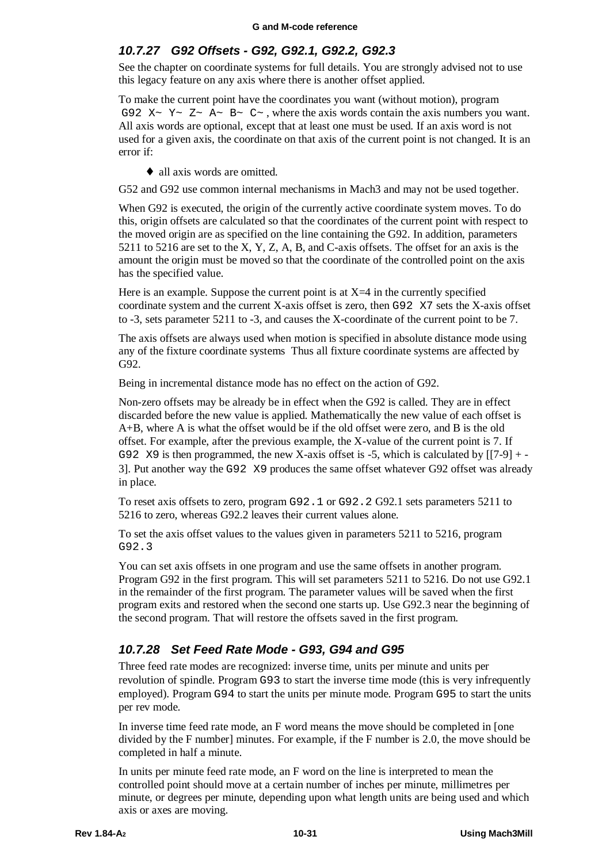## 10.7.27 G92 Offsets - G92, G92.1, G92.2, G92.3

See the chapter on coordinate systems for full details. You are strongly advised not to use this legacy feature on any axis where there is another offset applied.

To make the current point have the coordinates you want (without motion), program G92  $X \sim Y \sim Z \sim A \sim B \sim C \sim$ , where the axis words contain the axis numbers you want. All axis words are optional, except that at least one must be used. If an axis word is not used for a given axis, the coordinate on that axis of the current point is not changed. It is an error if:

 $\bullet$  all axis words are omitted.

G52 and G92 use common internal mechanisms in Mach3 and may not be used together.

When G92 is executed, the origin of the currently active coordinate system moves. To do this, origin offsets are calculated so that the coordinates of the current point with respect to the moved origin are as specified on the line containing the G92. In addition, parameters 5211 to 5216 are set to the X, Y, Z, A, B, and C-axis offsets. The offset for an axis is the amount the origin must be moved so that the coordinate of the controlled point on the axis has the specified value.

Here is an example. Suppose the current point is at  $X=4$  in the currently specified coordinate system and the current X-axis offset is zero, then G92 X7 sets the X-axis offset to -3, sets parameter 5211 to -3, and causes the X-coordinate of the current point to be 7.

The axis offsets are always used when motion is specified in absolute distance mode using any of the fixture coordinate systems Thus all fixture coordinate systems are affected by G92.

Being in incremental distance mode has no effect on the action of G92.

Non-zero offsets may be already be in effect when the G92 is called. They are in effect discarded before the new value is applied. Mathematically the new value of each offset is A+B, where A is what the offset would be if the old offset were zero, and B is the old offset. For example, after the previous example, the X-value of the current point is 7. If G92 X9 is then programmed, the new X-axis offset is -5, which is calculated by  $[7-9]$  + -3. Put another way the G92 X9 produces the same offset whatever G92 offset was already in place.

To reset axis offsets to zero, program G92.1 or G92.2 G92.1 sets parameters 5211 to 5216 to zero, whereas G92.2 leaves their current values alone.

To set the axis offset values to the values given in parameters 5211 to 5216, program  $G92.3$ 

You can set axis offsets in one program and use the same offsets in another program. Program G92 in the first program. This will set parameters 5211 to 5216. Do not use G92.1 in the remainder of the first program. The parameter values will be saved when the first program exits and restored when the second one starts up. Use G92.3 near the beginning of the second program. That will restore the offsets saved in the first program.

## 10.7.28 Set Feed Rate Mode - G93, G94 and G95

Three feed rate modes are recognized: inverse time, units per minute and units per revolution of spindle. Program G93 to start the inverse time mode (this is very infrequently employed). Program G94 to start the units per minute mode. Program G95 to start the units per rev mode.

In inverse time feed rate mode, an F word means the move should be completed in [one] divided by the F number] minutes. For example, if the F number is 2.0, the move should be completed in half a minute.

In units per minute feed rate mode, an F word on the line is interpreted to mean the controlled point should move at a certain number of inches per minute, millimetres per minute, or degrees per minute, depending upon what length units are being used and which axis or axes are moving.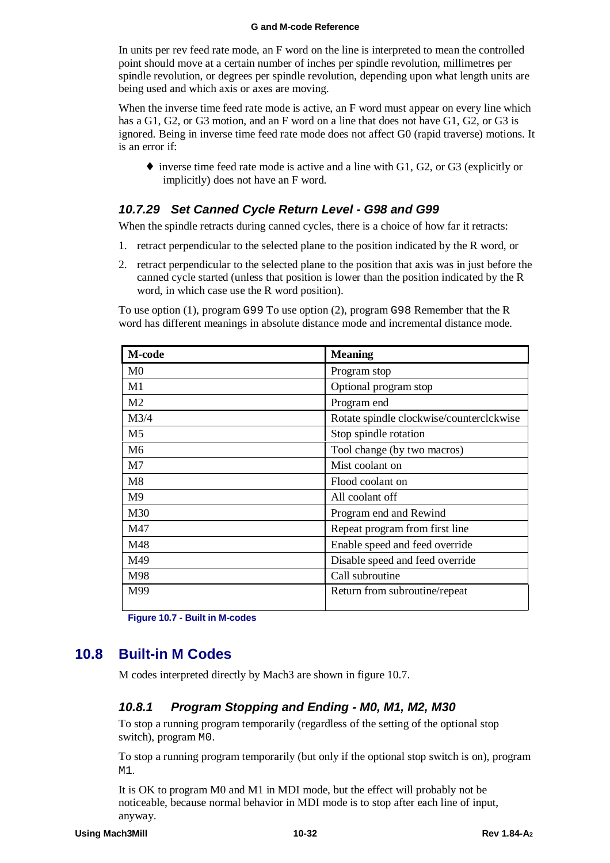In units per rev feed rate mode, an F word on the line is interpreted to mean the controlled point should move at a certain number of inches per spindle revolution, millimetres per spindle revolution, or degrees per spindle revolution, depending upon what length units are being used and which axis or axes are moving.

When the inverse time feed rate mode is active, an F word must appear on every line which has a G1, G2, or G3 motion, and an F word on a line that does not have G1, G2, or G3 is ignored. Being in inverse time feed rate mode does not affect G0 (rapid traverse) motions. It is an error if:

 $\bullet$  inverse time feed rate mode is active and a line with G1, G2, or G3 (explicitly or implicitly) does not have an F word.

## 10.7.29 Set Canned Cycle Return Level - G98 and G99

When the spindle retracts during canned cycles, there is a choice of how far it retracts:

- 1. retract perpendicular to the selected plane to the position indicated by the R word, or
- 2. retract perpendicular to the selected plane to the position that axis was in just before the canned cycle started (unless that position is lower than the position indicated by the R word, in which case use the R word position).

To use option (1), program G99 To use option (2), program G98 Remember that the R word has different meanings in absolute distance mode and incremental distance mode.

| M-code         | <b>Meaning</b>                           |  |
|----------------|------------------------------------------|--|
| M <sub>0</sub> | Program stop                             |  |
| M1             | Optional program stop                    |  |
| M <sub>2</sub> | Program end                              |  |
| M3/4           | Rotate spindle clockwise/counterclckwise |  |
| M <sub>5</sub> | Stop spindle rotation                    |  |
| M6             | Tool change (by two macros)              |  |
| M <sub>7</sub> | Mist coolant on                          |  |
| M8             | Flood coolant on                         |  |
| M <sub>9</sub> | All coolant off                          |  |
| M30            | Program end and Rewind                   |  |
| M47            | Repeat program from first line           |  |
| M48            | Enable speed and feed override           |  |
| M49            | Disable speed and feed override          |  |
| M98            | Call subroutine                          |  |
| M99            | Return from subroutine/repeat            |  |

Figure 10.7 - Built in M-codes

#### $10.8$ **Built-in M Codes**

M codes interpreted directly by Mach<sub>3</sub> are shown in figure 10.7.

#### 10.8.1 Program Stopping and Ending - M0, M1, M2, M30

To stop a running program temporarily (regardless of the setting of the optional stop switch), program M0.

To stop a running program temporarily (but only if the optional stop switch is on), program  $M1.$ 

It is OK to program M0 and M1 in MDI mode, but the effect will probably not be noticeable, because normal behavior in MDI mode is to stop after each line of input. anyway.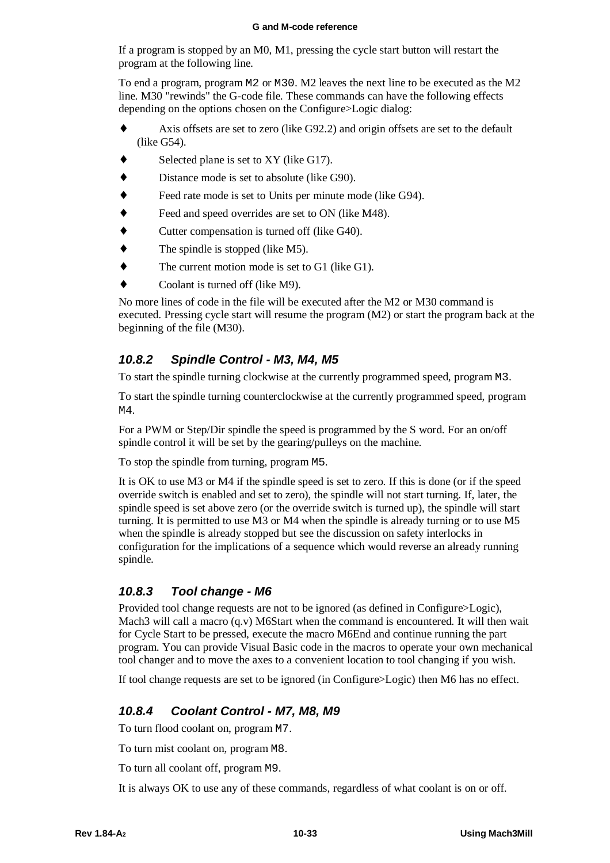If a program is stopped by an M0, M1, pressing the cycle start button will restart the program at the following line.

To end a program, program M2 or M30. M2 leaves the next line to be executed as the M2 line. M30 "rewinds" the G-code file. These commands can have the following effects depending on the options chosen on the Configure>Logic dialog:

- Axis offsets are set to zero (like G92.2) and origin offsets are set to the default  $(like G54)$ .
- Selected plane is set to XY (like G17).
- Distance mode is set to absolute (like G90).  $\bullet$
- Feed rate mode is set to Units per minute mode (like G94).
- Feed and speed overrides are set to ON (like M48).  $\blacktriangle$
- Cutter compensation is turned off (like G40).
- The spindle is stopped (like M5).  $\bullet$
- The current motion mode is set to G1 (like G1).
- Coolant is turned off (like M9).  $\bullet$

No more lines of code in the file will be executed after the M2 or M30 command is executed. Pressing cycle start will resume the program (M2) or start the program back at the beginning of the file (M30).

#### 10.8.2 Spindle Control - M3, M4, M5

To start the spindle turning clockwise at the currently programmed speed, program M3.

To start the spindle turning counterclockwise at the currently programmed speed, program M4.

For a PWM or Step/Dir spindle the speed is programmed by the S word. For an on/off spindle control it will be set by the gearing/pulleys on the machine.

To stop the spindle from turning, program M5.

It is OK to use M3 or M4 if the spindle speed is set to zero. If this is done (or if the speed override switch is enabled and set to zero), the spindle will not start turning. If, later, the spindle speed is set above zero (or the override switch is turned up), the spindle will start turning. It is permitted to use M3 or M4 when the spindle is already turning or to use M5 when the spindle is already stopped but see the discussion on safety interlocks in configuration for the implications of a sequence which would reverse an already running spindle.

#### $10.8.3$ **Tool change - M6**

Provided tool change requests are not to be ignored (as defined in Configure>Logic), Mach3 will call a macro (q,v) M6Start when the command is encountered. It will then wait for Cycle Start to be pressed, execute the macro M6End and continue running the part program. You can provide Visual Basic code in the macros to operate your own mechanical tool changer and to move the axes to a convenient location to tool changing if you wish.

If tool change requests are set to be ignored (in Configure>Logic) then M6 has no effect.

#### 10.8.4 Coolant Control - M7, M8, M9

To turn flood coolant on, program M7.

To turn mist coolant on, program M8.

To turn all coolant off, program M9.

It is always OK to use any of these commands, regardless of what coolant is on or off.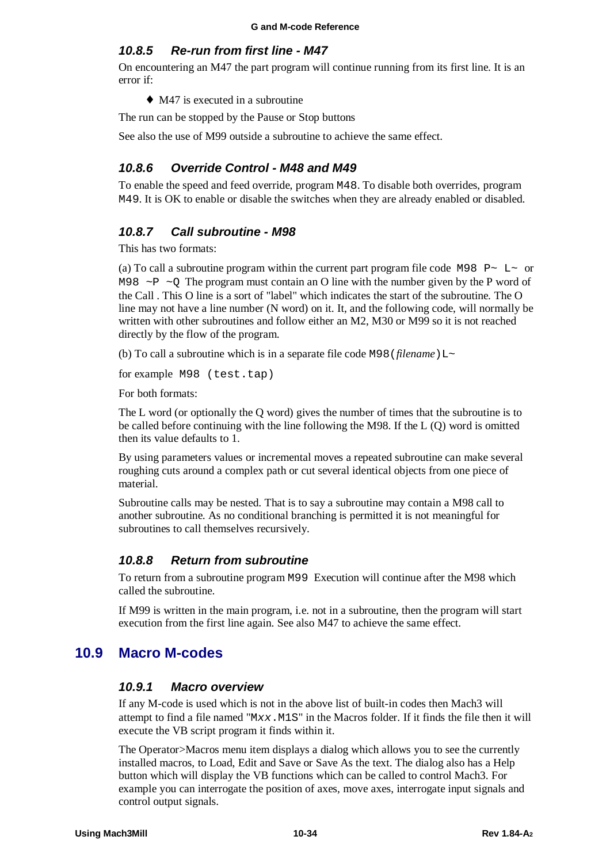#### 10.8.5 Re-run from first line - M47

On encountering an M47 the part program will continue running from its first line. It is an error if:

 $\bullet$  M47 is executed in a subroutine

The run can be stopped by the Pause or Stop buttons

See also the use of M99 outside a subroutine to achieve the same effect.

#### $10.86$ Override Control - M48 and M49

To enable the speed and feed override, program M48. To disable both overrides, program M49. It is OK to enable or disable the switches when they are already enabled or disabled.

#### $10.8.7$ **Call subroutine - M98**

This has two formats:

(a) To call a subroutine program within the current part program file code M98  $\mathbb{P} \sim \mathbb{L} \sim$  or M98 ~P ~O The program must contain an O line with the number given by the P word of the Call. This O line is a sort of "label" which indicates the start of the subroutine. The O line may not have a line number (N word) on it. It, and the following code, will normally be written with other subroutines and follow either an M2, M30 or M99 so it is not reached directly by the flow of the program.

(b) To call a subroutine which is in a separate file code M98 (filename)  $\mathbb{L}$ 

for example M98 (test.tap)

For both formats:

The L word (or optionally the Q word) gives the number of times that the subroutine is to be called before continuing with the line following the M98. If the  $L(Q)$  word is omitted then its value defaults to 1.

By using parameters values or incremental moves a repeated subroutine can make several roughing cuts around a complex path or cut several identical objects from one piece of material.

Subroutine calls may be nested. That is to say a subroutine may contain a M98 call to another subroutine. As no conditional branching is permitted it is not meaningful for subroutines to call themselves recursively.

#### 10.8.8 **Return from subroutine**

To return from a subroutine program M99 Execution will continue after the M98 which called the subroutine

If M99 is written in the main program, i.e. not in a subroutine, then the program will start execution from the first line again. See also M47 to achieve the same effect.

#### 10.9 **Macro M-codes**

#### $10.9.1$ **Macro overview**

If any M-code is used which is not in the above list of built-in codes then Mach3 will attempt to find a file named "Mxx. M1S" in the Macros folder. If it finds the file then it will execute the VB script program it finds within it.

The Operator>Macros menu item displays a dialog which allows you to see the currently installed macros, to Load, Edit and Save or Save As the text. The dialog also has a Help button which will display the VB functions which can be called to control Mach3. For example you can interrogate the position of axes, move axes, interrogate input signals and control output signals.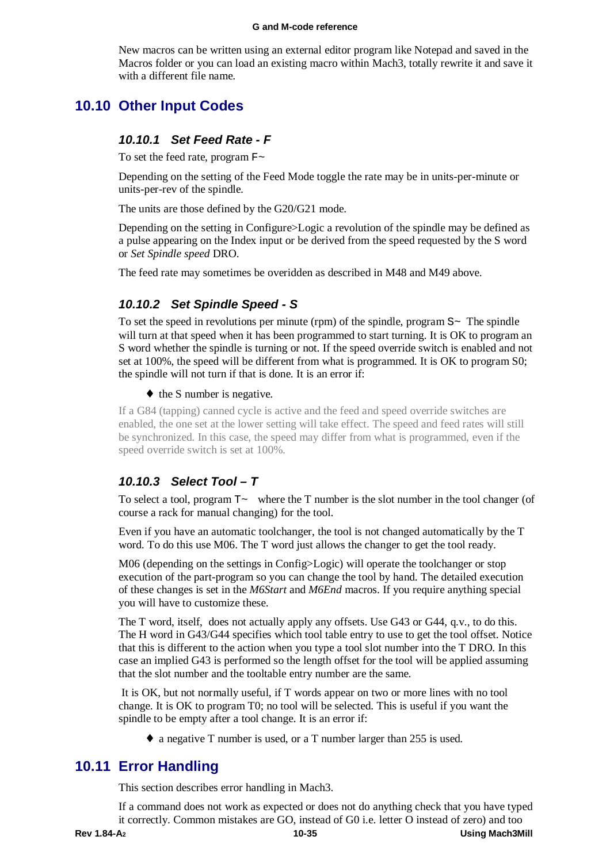New macros can be written using an external editor program like Notepad and saved in the Macros folder or you can load an existing macro within Mach3, totally rewrite it and save it with a different file name

# **10.10 Other Input Codes**

## 10.10.1 Set Feed Rate - F

To set the feed rate, program  $F \sim$ 

Depending on the setting of the Feed Mode toggle the rate may be in units-per-minute or units-per-rev of the spindle.

The units are those defined by the G20/G21 mode.

Depending on the setting in Configure>Logic a revolution of the spindle may be defined as a pulse appearing on the Index input or be derived from the speed requested by the S word or Set Spindle speed DRO.

The feed rate may sometimes be overidden as described in M48 and M49 above.

# 10.10.2 Set Spindle Speed - S

To set the speed in revolutions per minute (rpm) of the spindle, program  $S \sim$  The spindle will turn at that speed when it has been programmed to start turning. It is OK to program an S word whether the spindle is turning or not. If the speed override switch is enabled and not set at 100%, the speed will be different from what is programmed. It is OK to program S0; the spindle will not turn if that is done. It is an error if:

 $\bullet$  the S number is negative.

If a G84 (tapping) canned cycle is active and the feed and speed override switches are enabled, the one set at the lower setting will take effect. The speed and feed rates will still be synchronized. In this case, the speed may differ from what is programmed, even if the speed override switch is set at 100%.

# 10.10.3 Select Tool - T

To select a tool, program  $T^{\sim}$  where the T number is the slot number in the tool changer (of course a rack for manual changing) for the tool.

Even if you have an automatic toolchanger, the tool is not changed automatically by the T word. To do this use M06. The T word just allows the changer to get the tool ready.

M06 (depending on the settings in Config>Logic) will operate the toolchanger or stop execution of the part-program so you can change the tool by hand. The detailed execution of these changes is set in the *M6Start* and *M6End* macros. If you require anything special you will have to customize these.

The T word, itself, does not actually apply any offsets. Use G43 or G44, q.v., to do this. The H word in G43/G44 specifies which tool table entry to use to get the tool offset. Notice that this is different to the action when you type a tool slot number into the T DRO. In this case an implied G43 is performed so the length offset for the tool will be applied assuming that the slot number and the tooltable entry number are the same.

It is OK, but not normally useful, if T words appear on two or more lines with no tool change. It is OK to program T0; no tool will be selected. This is useful if you want the spindle to be empty after a tool change. It is an error if:

 $\bullet$  a negative T number is used, or a T number larger than 255 is used.

# **10.11 Error Handling**

This section describes error handling in Mach3.

If a command does not work as expected or does not do anything check that you have typed it correctly. Common mistakes are GO, instead of G0 i.e. letter O instead of zero) and too